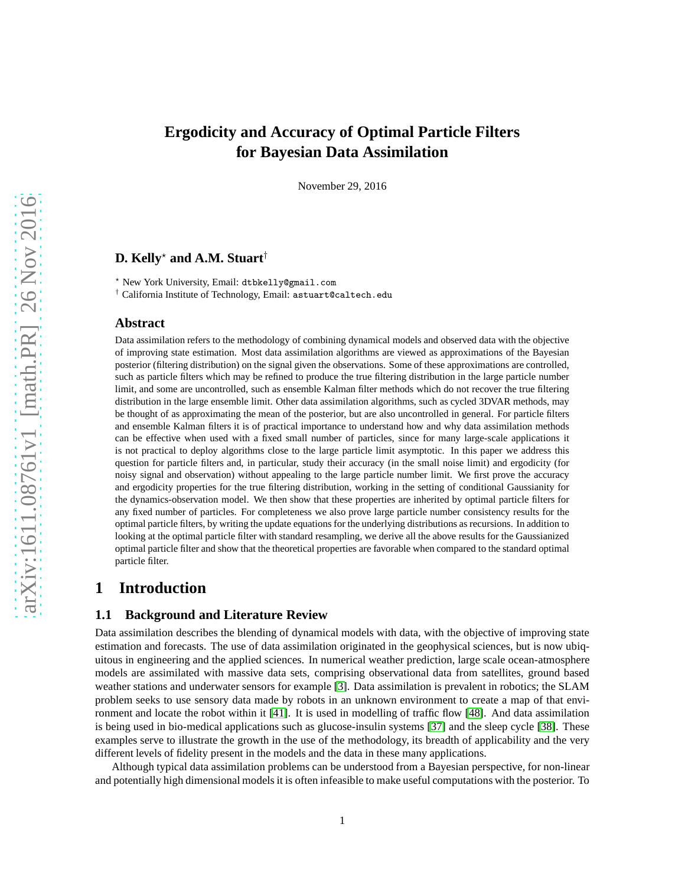# **Ergodicity and Accuracy of Optimal Particle Filters for Bayesian Data Assimilation**

November 29, 2016

## **D. Kelly**<sup>⋆</sup> **and A.M. Stuart**†

<sup>⋆</sup> New York University, Email: dtbkelly@gmail.com

† California Institute of Technology, Email: astuart@caltech.edu

#### **Abstract**

Data assimilation refers to the methodology of combining dynamical models and observed data with the objective of improving state estimation. Most data assimilation algorithms are viewed as approximations of the Bayesian posterior (filtering distribution) on the signal given the observations. Some of these approximations are controlled, such as particle filters which may be refined to produce the true filtering distribution in the large particle number limit, and some are uncontrolled, such as ensemble Kalman filter methods which do not recover the true filtering distribution in the large ensemble limit. Other data assimilation algorithms, such as cycled 3DVAR methods, may be thought of as approximating the mean of the posterior, but are also uncontrolled in general. For particle filters and ensemble Kalman filters it is of practical importance to understand how and why data assimilation methods can be effective when used with a fixed small number of particles, since for many large-scale applications it is not practical to deploy algorithms close to the large particle limit asymptotic. In this paper we address this question for particle filters and, in particular, study their accuracy (in the small noise limit) and ergodicity (for noisy signal and observation) without appealing to the large particle number limit. We first prove the accuracy and ergodicity properties for the true filtering distribution, working in the setting of conditional Gaussianity for the dynamics-observation model. We then show that these properties are inherited by optimal particle filters for any fixed number of particles. For completeness we also prove large particle number consistency results for the optimal particle filters, by writing the update equations for the underlying distributions as recursions. In addition to looking at the optimal particle filter with standard resampling, we derive all the above results for the Gaussianized optimal particle filter and show that the theoretical properties are favorable when compared to the standard optimal particle filter.

# **1 Introduction**

#### **1.1 Background and Literature Review**

Data assimilation describes the blending of dynamical models with data, with the objective of improving state estimation and forecasts. The use of data assimilation originated in the geophysical sciences, but is now ubiquitous in engineering and the applied sciences. In numerical weather prediction, large scale ocean-atmosphere models are assimilated with massive data sets, comprising observational data from satellites, ground based weather stations and underwater sensors for example [\[3\]](#page-24-0). Data assimilation is prevalent in robotics; the SLAM problem seeks to use sensory data made by robots in an unknown environment to create a map of that environment and locate the robot within it [\[41\]](#page-26-0). It is used in modelling of traffic flow [\[48\]](#page-26-1). And data assimilation is being used in bio-medical applications such as glucose-insulin systems [\[37\]](#page-25-0) and the sleep cycle [\[38\]](#page-25-1). These examples serve to illustrate the growth in the use of the methodology, its breadth of applicability and the very different levels of fidelity present in the models and the data in these many applications.

Although typical data assimilation problems can be understood from a Bayesian perspective, for non-linear and potentially high dimensional models it is often infeasible to make useful computations with the posterior. To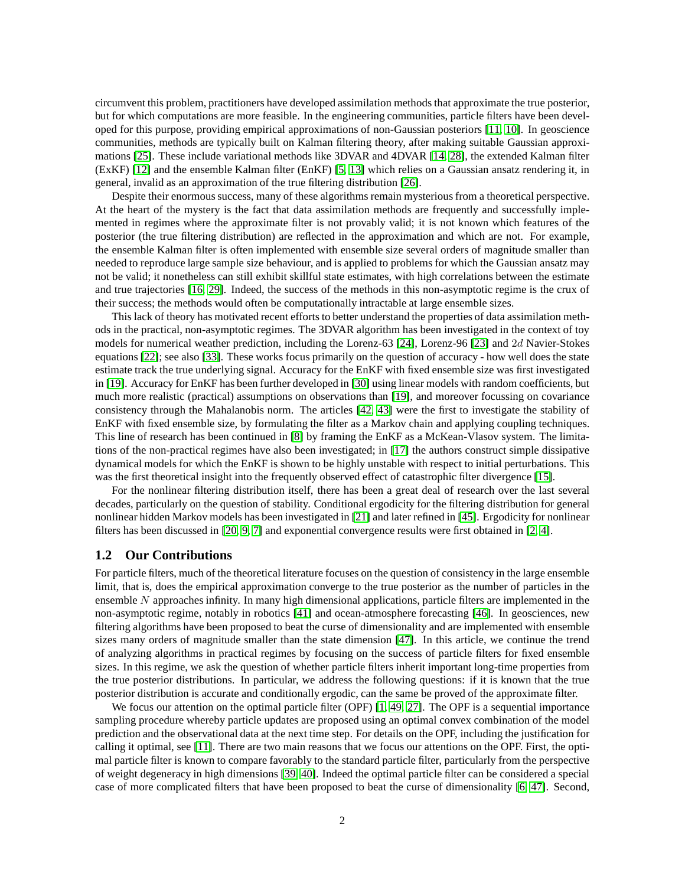circumvent this problem, practitioners have developed assimilation methods that approximate the true posterior, but for which computations are more feasible. In the engineering communities, particle filters have been developed for this purpose, providing empirical approximations of non-Gaussian posteriors [\[11,](#page-24-1) [10\]](#page-24-2). In geoscience communities, methods are typically built on Kalman filtering theory, after making suitable Gaussian approximations [\[25\]](#page-25-2). These include variational methods like 3DVAR and 4DVAR [\[14,](#page-24-3) [28\]](#page-25-3), the extended Kalman filter (ExKF) [\[12\]](#page-24-4) and the ensemble Kalman filter (EnKF) [\[5,](#page-24-5) [13\]](#page-24-6) which relies on a Gaussian ansatz rendering it, in general, invalid as an approximation of the true filtering distribution [\[26\]](#page-25-4).

Despite their enormous success, many of these algorithms remain mysterious from a theoretical perspective. At the heart of the mystery is the fact that data assimilation methods are frequently and successfully implemented in regimes where the approximate filter is not provably valid; it is not known which features of the posterior (the true filtering distribution) are reflected in the approximation and which are not. For example, the ensemble Kalman filter is often implemented with ensemble size several orders of magnitude smaller than needed to reproduce large sample size behaviour, and is applied to problems for which the Gaussian ansatz may not be valid; it nonetheless can still exhibit skillful state estimates, with high correlations between the estimate and true trajectories [\[16,](#page-24-7) [29\]](#page-25-5). Indeed, the success of the methods in this non-asymptotic regime is the crux of their success; the methods would often be computationally intractable at large ensemble sizes.

This lack of theory has motivated recent efforts to better understand the properties of data assimilation methods in the practical, non-asymptotic regimes. The 3DVAR algorithm has been investigated in the context of toy models for numerical weather prediction, including the Lorenz-63 [\[24\]](#page-25-6), Lorenz-96 [\[23\]](#page-25-7) and 2d Navier-Stokes equations [\[22\]](#page-25-8); see also [\[33\]](#page-25-9). These works focus primarily on the question of accuracy - how well does the state estimate track the true underlying signal. Accuracy for the EnKF with fixed ensemble size was first investigated in [\[19\]](#page-24-8). Accuracy for EnKF has been further developed in [\[30\]](#page-25-10) using linear models with random coefficients, but much more realistic (practical) assumptions on observations than [\[19\]](#page-24-8), and moreover focussing on covariance consistency through the Mahalanobis norm. The articles [\[42,](#page-26-2) [43\]](#page-26-3) were the first to investigate the stability of EnKF with fixed ensemble size, by formulating the filter as a Markov chain and applying coupling techniques. This line of research has been continued in [\[8\]](#page-24-9) by framing the EnKF as a McKean-Vlasov system. The limitations of the non-practical regimes have also been investigated; in [\[17\]](#page-24-10) the authors construct simple dissipative dynamical models for which the EnKF is shown to be highly unstable with respect to initial perturbations. This was the first theoretical insight into the frequently observed effect of catastrophic filter divergence [\[15\]](#page-24-11).

For the nonlinear filtering distribution itself, there has been a great deal of research over the last several decades, particularly on the question of stability. Conditional ergodicity for the filtering distribution for general nonlinear hidden Markov models has been investigated in [\[21\]](#page-25-11) and later refined in [\[45\]](#page-26-4). Ergodicity for nonlinear filters has been discussed in [\[20,](#page-25-12) [9,](#page-24-12) [7\]](#page-24-13) and exponential convergence results were first obtained in [\[2,](#page-24-14) [4\]](#page-24-15).

#### **1.2 Our Contributions**

For particle filters, much of the theoretical literature focuses on the question of consistency in the large ensemble limit, that is, does the empirical approximation converge to the true posterior as the number of particles in the ensemble N approaches infinity. In many high dimensional applications, particle filters are implemented in the non-asymptotic regime, notably in robotics [\[41\]](#page-26-0) and ocean-atmosphere forecasting [\[46\]](#page-26-5). In geosciences, new filtering algorithms have been proposed to beat the curse of dimensionality and are implemented with ensemble sizes many orders of magnitude smaller than the state dimension [\[47\]](#page-26-6). In this article, we continue the trend of analyzing algorithms in practical regimes by focusing on the success of particle filters for fixed ensemble sizes. In this regime, we ask the question of whether particle filters inherit important long-time properties from the true posterior distributions. In particular, we address the following questions: if it is known that the true posterior distribution is accurate and conditionally ergodic, can the same be proved of the approximate filter.

We focus our attention on the optimal particle filter (OPF) [\[1,](#page-24-16) [49,](#page-26-7) [27\]](#page-25-13). The OPF is a sequential importance sampling procedure whereby particle updates are proposed using an optimal convex combination of the model prediction and the observational data at the next time step. For details on the OPF, including the justification for calling it optimal, see [\[11\]](#page-24-1). There are two main reasons that we focus our attentions on the OPF. First, the optimal particle filter is known to compare favorably to the standard particle filter, particularly from the perspective of weight degeneracy in high dimensions [\[39,](#page-26-8) [40\]](#page-26-9). Indeed the optimal particle filter can be considered a special case of more complicated filters that have been proposed to beat the curse of dimensionality [\[6,](#page-24-17) [47\]](#page-26-6). Second,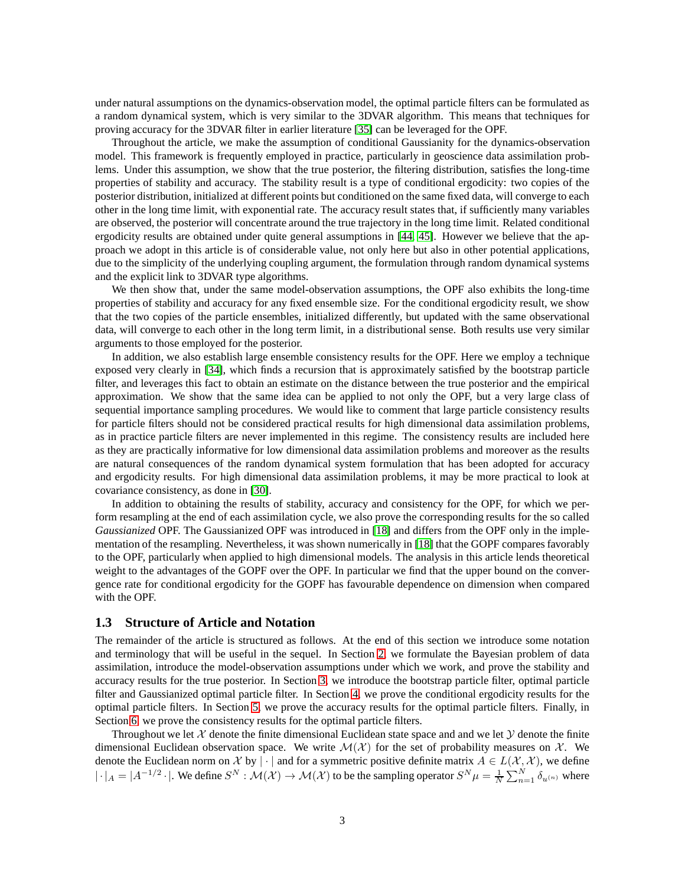under natural assumptions on the dynamics-observation model, the optimal particle filters can be formulated as a random dynamical system, which is very similar to the 3DVAR algorithm. This means that techniques for proving accuracy for the 3DVAR filter in earlier literature [\[35\]](#page-25-14) can be leveraged for the OPF.

Throughout the article, we make the assumption of conditional Gaussianity for the dynamics-observation model. This framework is frequently employed in practice, particularly in geoscience data assimilation problems. Under this assumption, we show that the true posterior, the filtering distribution, satisfies the long-time properties of stability and accuracy. The stability result is a type of conditional ergodicity: two copies of the posterior distribution, initialized at different points but conditioned on the same fixed data, will converge to each other in the long time limit, with exponential rate. The accuracy result states that, if sufficiently many variables are observed, the posterior will concentrate around the true trajectory in the long time limit. Related conditional ergodicity results are obtained under quite general assumptions in [\[44,](#page-26-10) [45\]](#page-26-4). However we believe that the approach we adopt in this article is of considerable value, not only here but also in other potential applications, due to the simplicity of the underlying coupling argument, the formulation through random dynamical systems and the explicit link to 3DVAR type algorithms.

We then show that, under the same model-observation assumptions, the OPF also exhibits the long-time properties of stability and accuracy for any fixed ensemble size. For the conditional ergodicity result, we show that the two copies of the particle ensembles, initialized differently, but updated with the same observational data, will converge to each other in the long term limit, in a distributional sense. Both results use very similar arguments to those employed for the posterior.

In addition, we also establish large ensemble consistency results for the OPF. Here we employ a technique exposed very clearly in [\[34\]](#page-25-15), which finds a recursion that is approximately satisfied by the bootstrap particle filter, and leverages this fact to obtain an estimate on the distance between the true posterior and the empirical approximation. We show that the same idea can be applied to not only the OPF, but a very large class of sequential importance sampling procedures. We would like to comment that large particle consistency results for particle filters should not be considered practical results for high dimensional data assimilation problems, as in practice particle filters are never implemented in this regime. The consistency results are included here as they are practically informative for low dimensional data assimilation problems and moreover as the results are natural consequences of the random dynamical system formulation that has been adopted for accuracy and ergodicity results. For high dimensional data assimilation problems, it may be more practical to look at covariance consistency, as done in [\[30\]](#page-25-10).

In addition to obtaining the results of stability, accuracy and consistency for the OPF, for which we perform resampling at the end of each assimilation cycle, we also prove the corresponding results for the so called *Gaussianized* OPF. The Gaussianized OPF was introduced in [\[18\]](#page-24-18) and differs from the OPF only in the implementation of the resampling. Nevertheless, it was shown numerically in [\[18\]](#page-24-18) that the GOPF compares favorably to the OPF, particularly when applied to high dimensional models. The analysis in this article lends theoretical weight to the advantages of the GOPF over the OPF. In particular we find that the upper bound on the convergence rate for conditional ergodicity for the GOPF has favourable dependence on dimension when compared with the OPF.

#### <span id="page-2-0"></span>**1.3 Structure of Article and Notation**

The remainder of the article is structured as follows. At the end of this section we introduce some notation and terminology that will be useful in the sequel. In Section [2,](#page-3-0) we formulate the Bayesian problem of data assimilation, introduce the model-observation assumptions under which we work, and prove the stability and accuracy results for the true posterior. In Section [3,](#page-7-0) we introduce the bootstrap particle filter, optimal particle filter and Gaussianized optimal particle filter. In Section [4,](#page-10-0) we prove the conditional ergodicity results for the optimal particle filters. In Section [5,](#page-14-0) we prove the accuracy results for the optimal particle filters. Finally, in Section [6,](#page-16-0) we prove the consistency results for the optimal particle filters.

Throughout we let  $\mathcal X$  denote the finite dimensional Euclidean state space and and we let  $\mathcal Y$  denote the finite dimensional Euclidean observation space. We write  $\mathcal{M}(\mathcal{X})$  for the set of probability measures on  $\mathcal{X}$ . We denote the Euclidean norm on X by |  $\cdot$  | and for a symmetric positive definite matrix  $A \in L(\mathcal{X}, \mathcal{X})$ , we define  $|\cdot|_A = |A^{-1/2} \cdot|$ . We define  $S^N : \mathcal{M}(\mathcal{X}) \to \mathcal{M}(\mathcal{X})$  to be the sampling operator  $S^N \mu = \frac{1}{N} \sum_{n=1}^N \delta_{u^{(n)}}$  where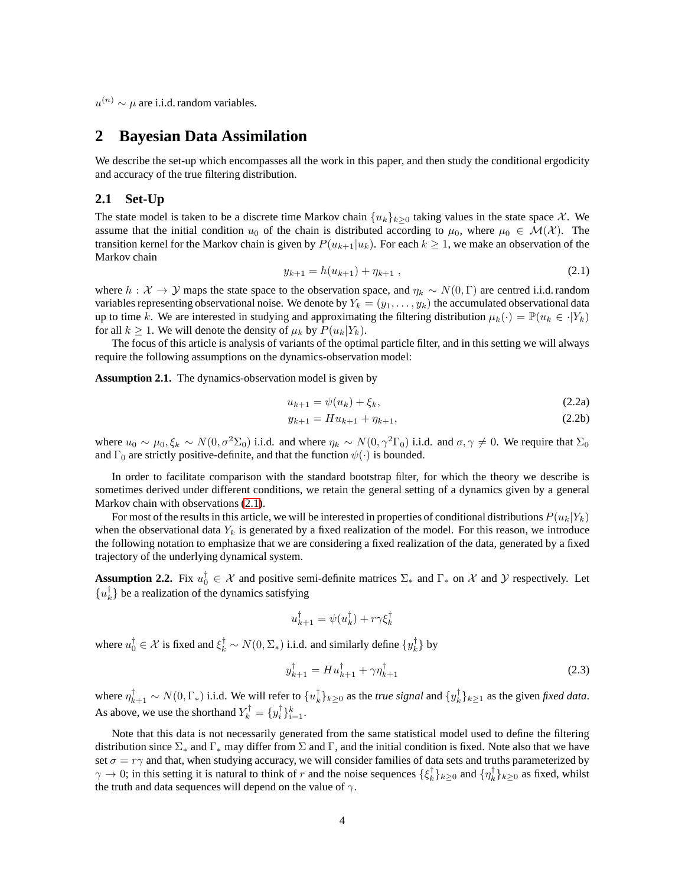<span id="page-3-0"></span> $u^{(n)} \sim \mu$  are i.i.d. random variables.

## **2 Bayesian Data Assimilation**

We describe the set-up which encompasses all the work in this paper, and then study the conditional ergodicity and accuracy of the true filtering distribution.

#### **2.1 Set-Up**

The state model is taken to be a discrete time Markov chain  $\{u_k\}_{k\geq 0}$  taking values in the state space X. We assume that the initial condition  $u_0$  of the chain is distributed according to  $\mu_0$ , where  $\mu_0 \in \mathcal{M}(\mathcal{X})$ . The transition kernel for the Markov chain is given by  $P(u_{k+1}|u_k)$ . For each  $k \geq 1$ , we make an observation of the Markov chain

<span id="page-3-1"></span>
$$
y_{k+1} = h(u_{k+1}) + \eta_{k+1} \t\t(2.1)
$$

where  $h : \mathcal{X} \to \mathcal{Y}$  maps the state space to the observation space, and  $\eta_k \sim N(0, \Gamma)$  are centred i.i.d. random variables representing observational noise. We denote by  $Y_k = (y_1, \ldots, y_k)$  the accumulated observational data up to time k. We are interested in studying and approximating the filtering distribution  $\mu_k(\cdot) = \mathbb{P}(u_k \in \cdot | Y_k)$ for all  $k \geq 1$ . We will denote the density of  $\mu_k$  by  $P(u_k|Y_k)$ .

The focus of this article is analysis of variants of the optimal particle filter, and in this setting we will always require the following assumptions on the dynamics-observation model:

<span id="page-3-2"></span>**Assumption 2.1.** The dynamics-observation model is given by

$$
u_{k+1} = \psi(u_k) + \xi_k, \tag{2.2a}
$$

$$
y_{k+1} = H u_{k+1} + \eta_{k+1},\tag{2.2b}
$$

where  $u_0 \sim \mu_0, \xi_k \sim N(0, \sigma^2 \Sigma_0)$  i.i.d. and where  $\eta_k \sim N(0, \gamma^2 \Gamma_0)$  i.i.d. and  $\sigma, \gamma \neq 0$ . We require that  $\Sigma_0$ and  $\Gamma_0$  are strictly positive-definite, and that the function  $\psi(\cdot)$  is bounded.

In order to facilitate comparison with the standard bootstrap filter, for which the theory we describe is sometimes derived under different conditions, we retain the general setting of a dynamics given by a general Markov chain with observations [\(2.1\)](#page-3-1).

For most of the results in this article, we will be interested in properties of conditional distributions  $P(u_k|Y_k)$ when the observational data  $Y_k$  is generated by a fixed realization of the model. For this reason, we introduce the following notation to emphasize that we are considering a fixed realization of the data, generated by a fixed trajectory of the underlying dynamical system.

<span id="page-3-3"></span>**Assumption 2.2.** Fix  $u_0^{\dagger} \in \mathcal{X}$  and positive semi-definite matrices  $\Sigma_*$  and  $\Gamma_*$  on  $\mathcal{X}$  and  $\mathcal{Y}$  respectively. Let  ${u_k^{\dagger}}$  be a realization of the dynamics satisfying

$$
u_{k+1}^{\dagger} = \psi(u_k^{\dagger}) + r\gamma \xi_k^{\dagger}
$$

where  $u_0^{\dagger} \in \mathcal{X}$  is fixed and  $\xi_k^{\dagger} \sim N(0, \Sigma_*)$  i.i.d. and similarly define  $\{y_k^{\dagger}\}$  by

$$
y_{k+1}^{\dagger} = H u_{k+1}^{\dagger} + \gamma \eta_{k+1}^{\dagger} \tag{2.3}
$$

where  $\eta_{k+1}^{\dagger} \sim N(0,\Gamma_*)$  i.i.d. We will refer to  $\{u_k^{\dagger}\}_{k\geq 0}$  as the *true signal* and  $\{y_k^{\dagger}\}_{k\geq 1}$  as the given *fixed data*. As above, we use the shorthand  $Y_k^{\dagger} = \{y_i^{\dagger}\}_{i=1}^k$ .

Note that this data is not necessarily generated from the same statistical model used to define the filtering distribution since  $\Sigma_*$  and  $\Gamma_*$  may differ from  $\Sigma$  and  $\Gamma$ , and the initial condition is fixed. Note also that we have set  $\sigma = r\gamma$  and that, when studying accuracy, we will consider families of data sets and truths parameterized by  $\gamma \to 0$ ; in this setting it is natural to think of r and the noise sequences  $\{\xi_k^{\dagger}\}_{k\geq 0}$  and  $\{\eta_k^{\dagger}\}_{k\geq 0}$  as fixed, whilst the truth and data sequences will depend on the value of  $\gamma$ .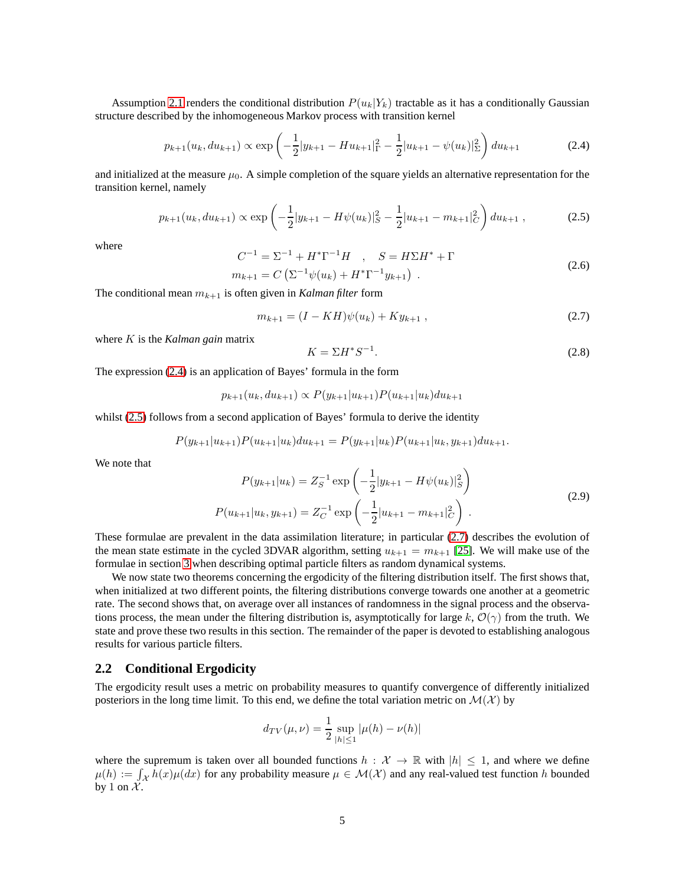Assumption [2.1](#page-3-2) renders the conditional distribution  $P(u_k|Y_k)$  tractable as it has a conditionally Gaussian structure described by the inhomogeneous Markov process with transition kernel

$$
p_{k+1}(u_k, du_{k+1}) \propto \exp\left(-\frac{1}{2}|y_{k+1} - Hu_{k+1}|_{\Gamma}^2 - \frac{1}{2}|u_{k+1} - \psi(u_k)|_{\Sigma}^2\right) du_{k+1}
$$
(2.4)

and initialized at the measure  $\mu_0$ . A simple completion of the square yields an alternative representation for the transition kernel, namely

$$
p_{k+1}(u_k, du_{k+1}) \propto \exp\left(-\frac{1}{2}|y_{k+1} - H\psi(u_k)|_S^2 - \frac{1}{2}|u_{k+1} - m_{k+1}|_C^2\right) du_{k+1},\tag{2.5}
$$

where

<span id="page-4-3"></span>
$$
C^{-1} = \Sigma^{-1} + H^* \Gamma^{-1} H \quad , \quad S = H \Sigma H^* + \Gamma
$$
  
\n
$$
m_{k+1} = C \left( \Sigma^{-1} \psi(u_k) + H^* \Gamma^{-1} y_{k+1} \right) .
$$
\n(2.6)

The conditional mean  $m_{k+1}$  is often given in *Kalman filter* form

$$
m_{k+1} = (I - KH)\psi(u_k) + Ky_{k+1} \,, \tag{2.7}
$$

where K is the *Kalman gain* matrix

<span id="page-4-4"></span><span id="page-4-2"></span><span id="page-4-1"></span><span id="page-4-0"></span>
$$
K = \Sigma H^* S^{-1}.
$$
\n<sup>(2.8)</sup>

The expression [\(2.4\)](#page-4-0) is an application of Bayes' formula in the form

$$
p_{k+1}(u_k, du_{k+1}) \propto P(y_{k+1}|u_{k+1})P(u_{k+1}|u_k)du_{k+1}
$$

whilst [\(2.5\)](#page-4-1) follows from a second application of Bayes' formula to derive the identity

$$
P(y_{k+1}|u_{k+1})P(u_{k+1}|u_k)du_{k+1} = P(y_{k+1}|u_k)P(u_{k+1}|u_k, y_{k+1})du_{k+1}.
$$

We note that

<span id="page-4-5"></span>
$$
P(y_{k+1}|u_k) = Z_S^{-1} \exp\left(-\frac{1}{2}|y_{k+1} - H\psi(u_k)|_S^2\right)
$$
  

$$
P(u_{k+1}|u_k, y_{k+1}) = Z_C^{-1} \exp\left(-\frac{1}{2}|u_{k+1} - m_{k+1}|_C^2\right).
$$
 (2.9)

These formulae are prevalent in the data assimilation literature; in particular [\(2.7\)](#page-4-2) describes the evolution of the mean state estimate in the cycled 3DVAR algorithm, setting  $u_{k+1} = m_{k+1}$  [\[25\]](#page-25-2). We will make use of the formulae in section [3](#page-7-0) when describing optimal particle filters as random dynamical systems.

We now state two theorems concerning the ergodicity of the filtering distribution itself. The first shows that, when initialized at two different points, the filtering distributions converge towards one another at a geometric rate. The second shows that, on average over all instances of randomness in the signal process and the observations process, the mean under the filtering distribution is, asymptotically for large k,  $\mathcal{O}(\gamma)$  from the truth. We state and prove these two results in this section. The remainder of the paper is devoted to establishing analogous results for various particle filters.

#### **2.2 Conditional Ergodicity**

The ergodicity result uses a metric on probability measures to quantify convergence of differently initialized posteriors in the long time limit. To this end, we define the total variation metric on  $\mathcal{M}(\mathcal{X})$  by

$$
d_{TV}(\mu, \nu) = \frac{1}{2} \sup_{|h| \le 1} |\mu(h) - \nu(h)|
$$

where the supremum is taken over all bounded functions  $h : \mathcal{X} \to \mathbb{R}$  with  $|h| \leq 1$ , and where we define  $\mu(h) := \int_{\mathcal{X}} \tilde{h}(x) \mu(dx)$  for any probability measure  $\mu \in \mathcal{M}(\mathcal{X})$  and any real-valued test function h bounded by 1 on  $\mathcal{X}$ .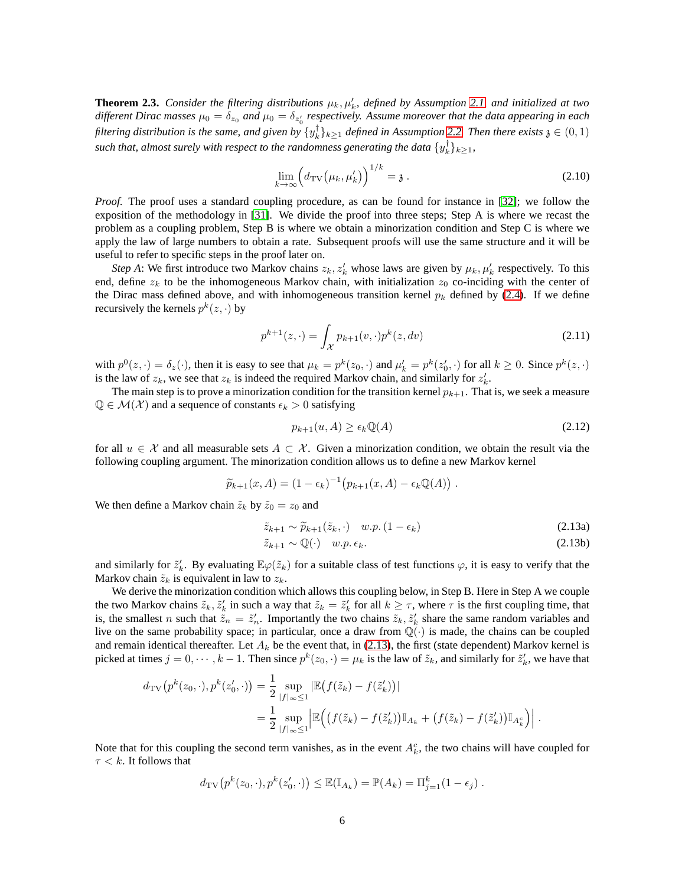<span id="page-5-3"></span>**Theorem 2.3.** *Consider the filtering distributions*  $\mu_k, \mu'_k$ *, defined by Assumption [2.1,](#page-3-2) and initialized at two* different Dirac masses  $\mu_0=\delta_{z_0}$  and  $\mu_0=\delta_{z'_0}$  respectively. Assume moreover that the data appearing in each filtering distribution is the same, and given by  $\{y_k^{\dagger}\}_{k\geq 1}$  defined in Assumption [2.2.](#page-3-3) Then there exists  $\mathfrak{z} \in (0,1)$ such that, almost surely with respect to the randomness generating the data  $\{y_k^{\dagger}\}_{k\geq 1}$ ,

<span id="page-5-1"></span>
$$
\lim_{k \to \infty} \left( d_{\text{TV}}\left( \mu_k, \mu'_k \right) \right)^{1/k} = \mathfrak{z} \ . \tag{2.10}
$$

*Proof.* The proof uses a standard coupling procedure, as can be found for instance in [\[32\]](#page-25-16); we follow the exposition of the methodology in [\[31\]](#page-25-17). We divide the proof into three steps; Step A is where we recast the problem as a coupling problem, Step B is where we obtain a minorization condition and Step C is where we apply the law of large numbers to obtain a rate. Subsequent proofs will use the same structure and it will be useful to refer to specific steps in the proof later on.

*Step A*: We first introduce two Markov chains  $z_k$ ,  $z'_k$  whose laws are given by  $\mu_k$ ,  $\mu'_k$  respectively. To this end, define  $z_k$  to be the inhomogeneous Markov chain, with initialization  $z_0$  co-inciding with the center of the Dirac mass defined above, and with inhomogeneous transition kernel  $p_k$  defined by [\(2.4\)](#page-4-0). If we define recursively the kernels  $p^k(z, \cdot)$  by

$$
p^{k+1}(z, \cdot) = \int_{\mathcal{X}} p_{k+1}(v, \cdot) p^k(z, dv)
$$
 (2.11)

with  $p^0(z, \cdot) = \delta_z(\cdot)$ , then it is easy to see that  $\mu_k = p^k(z_0, \cdot)$  and  $\mu'_k = p^k(z'_0, \cdot)$  for all  $k \ge 0$ . Since  $p^k(z, \cdot)$ is the law of  $z_k$ , we see that  $z_k$  is indeed the required Markov chain, and similarly for  $z'_k$ .

The main step is to prove a minorization condition for the transition kernel  $p_{k+1}$ . That is, we seek a measure  $\mathbb{Q} \in \mathcal{M}(\mathcal{X})$  and a sequence of constants  $\epsilon_k > 0$  satisfying

<span id="page-5-4"></span><span id="page-5-2"></span>
$$
p_{k+1}(u, A) \ge \epsilon_k \mathbb{Q}(A) \tag{2.12}
$$

for all  $u \in \mathcal{X}$  and all measurable sets  $A \subset \mathcal{X}$ . Given a minorization condition, we obtain the result via the following coupling argument. The minorization condition allows us to define a new Markov kernel

$$
\widetilde{p}_{k+1}(x,A) = (1 - \epsilon_k)^{-1} (p_{k+1}(x,A) - \epsilon_k \mathbb{Q}(A)).
$$

We then define a Markov chain  $\tilde{z}_k$  by  $\tilde{z}_0 = z_0$  and

<span id="page-5-0"></span>
$$
\tilde{z}_{k+1} \sim \tilde{p}_{k+1}(\tilde{z}_k, \cdot) \quad w.p. \left(1 - \epsilon_k\right) \tag{2.13a}
$$

$$
\tilde{z}_{k+1} \sim \mathbb{Q}(\cdot) \quad w.p. \epsilon_k. \tag{2.13b}
$$

and similarly for  $\tilde{z}'_k$ . By evaluating  $\mathbb{E}\varphi(\tilde{z}_k)$  for a suitable class of test functions  $\varphi$ , it is easy to verify that the Markov chain  $\tilde{z}_k$  is equivalent in law to  $z_k$ .

We derive the minorization condition which allows this coupling below, in Step B. Here in Step A we couple the two Markov chains  $\tilde{z}_k$ ,  $\tilde{z}'_k$  in such a way that  $\tilde{z}_k = \tilde{z}'_k$  for all  $k \geq \tau$ , where  $\tau$  is the first coupling time, that is, the smallest n such that  $\tilde{z}_n = \tilde{z}'_n$ . Importantly the two chains  $\tilde{z}_k, \tilde{z}'_k$  share the same random variables and live on the same probability space; in particular, once a draw from  $\mathbb{Q}(\cdot)$  is made, the chains can be coupled and remain identical thereafter. Let  $A_k$  be the event that, in [\(2.13\)](#page-5-0), the first (state dependent) Markov kernel is picked at times  $j = 0, \dots, k - 1$ . Then since  $p^k(z_0, \cdot) = \mu_k$  is the law of  $\tilde{z}_k$ , and similarly for  $\tilde{z}'_k$ , we have that

$$
d_{\text{TV}}\left(p^k(z_0, \cdot), p^k(z'_0, \cdot)\right) = \frac{1}{2} \sup_{|f|_{\infty} \le 1} \left| \mathbb{E}\left(f(\tilde{z}_k) - f(\tilde{z}'_k)\right) \right|
$$
  

$$
= \frac{1}{2} \sup_{|f|_{\infty} \le 1} \left| \mathbb{E}\left(\left(f(\tilde{z}_k) - f(\tilde{z}'_k)\right) \mathbb{I}_{A_k} + \left(f(\tilde{z}_k) - f(\tilde{z}'_k)\right) \mathbb{I}_{A_k^c}\right) \right|.
$$

Note that for this coupling the second term vanishes, as in the event  $A_k^c$ , the two chains will have coupled for  $\tau < k$ . It follows that

$$
d_{\text{TV}}(p^k(z_0, \cdot), p^k(z'_0, \cdot)) \leq \mathbb{E}(\mathbb{I}_{A_k}) = \mathbb{P}(A_k) = \Pi_{j=1}^k (1 - \epsilon_j).
$$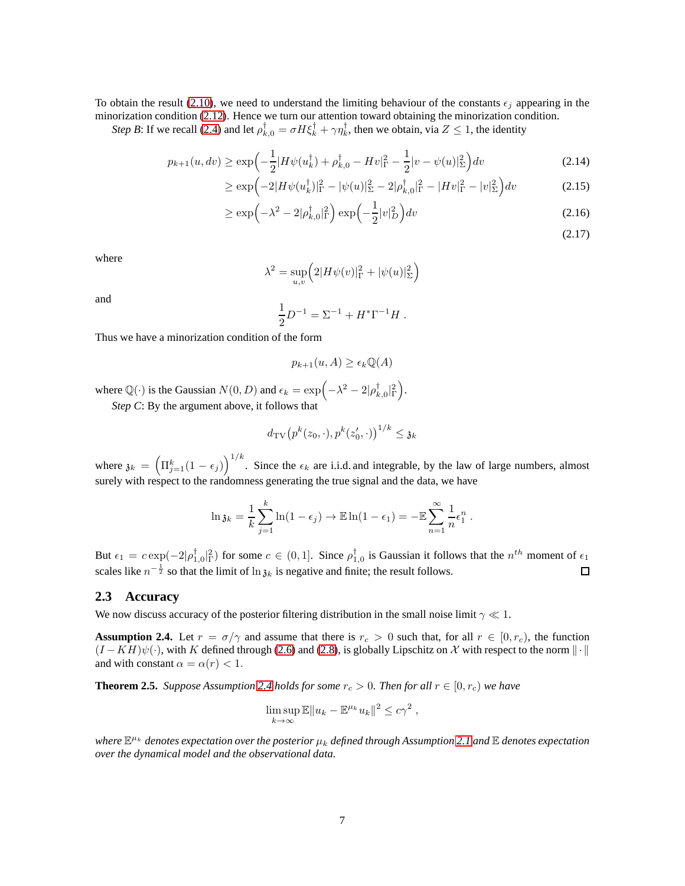To obtain the result [\(2.10\)](#page-5-1), we need to understand the limiting behaviour of the constants  $\epsilon_j$  appearing in the minorization condition [\(2.12\)](#page-5-2). Hence we turn our attention toward obtaining the minorization condition.

*Step B*: If we recall [\(2.4\)](#page-4-0) and let  $\rho_{k,0}^{\dagger} = \sigma H \xi_k^{\dagger} + \gamma \eta_k^{\dagger}$ , then we obtain, via  $Z \le 1$ , the identity

$$
p_{k+1}(u, dv) \ge \exp\left(-\frac{1}{2}|H\psi(u_k^{\dagger}) + \rho_{k,0}^{\dagger} - Hv|_{\Gamma}^2 - \frac{1}{2}|v - \psi(u)|_{\Sigma}^2\right)dv\tag{2.14}
$$

$$
\geq \exp\left(-2|H\psi(u_k^{\dagger})|_{\Gamma}^2 - |\psi(u)|_{\Sigma}^2 - 2|\rho_{k,0}^{\dagger}|_{\Gamma}^2 - |Hv|_{\Gamma}^2 - |v|_{\Sigma}^2\right)dv\tag{2.15}
$$

$$
\geq \exp\left(-\lambda^2 - 2|\rho_{k,0}^{\dagger}|_{\Gamma}^2\right) \exp\left(-\frac{1}{2}|v|_{D}^2\right) dv \tag{2.16}
$$

.

(2.17)

where

$$
\lambda^{2} = \sup_{u,v} \left( 2|H\psi(v)|_{\Gamma}^{2} + |\psi(u)|_{\Sigma}^{2} \right)
$$

and

$$
\frac{1}{2}D^{-1} = \Sigma^{-1} + H^* \Gamma^{-1} H.
$$

Thus we have a minorization condition of the form

$$
p_{k+1}(u, A) \ge \epsilon_k \mathbb{Q}(A)
$$

where  $\mathbb{Q}(\cdot)$  is the Gaussian  $N(0, D)$  and  $\epsilon_k = \exp(-\lambda^2 - 2|\rho_{k, 0}^{\dagger}|_1^2)$ . *Step C*: By the argument above, it follows that

$$
d_{\mathrm{TV}}\big(p^k(z_0,\cdot),p^k(z'_0,\cdot)\big)^{1/k}\leq\mathfrak{z}_k
$$

where  $\mathfrak{z}_k = (\Pi_{j=1}^k (1 - \epsilon_j))^{1/k}$ . Since the  $\epsilon_k$  are i.i.d. and integrable, by the law of large numbers, almost surely with respect to the randomness generating the true signal and the data, we have

$$
\ln \mathfrak{z}_k = \frac{1}{k} \sum_{j=1}^k \ln(1 - \epsilon_j) \to \mathbb{E} \ln(1 - \epsilon_1) = -\mathbb{E} \sum_{n=1}^\infty \frac{1}{n} \epsilon_1^n
$$

But  $\epsilon_1 = c \exp(-2|\rho_{1,0}^{\dagger}|^2)$  for some  $c \in (0,1]$ . Since  $\rho_{1,0}^{\dagger}$  is Gaussian it follows that the  $n^{th}$  moment of  $\epsilon_1$ scales like  $n^{-\frac{1}{2}}$  so that the limit of  $\ln \mathfrak{z}_k$  is negative and finite; the result follows. 口

#### **2.3 Accuracy**

We now discuss accuracy of the posterior filtering distribution in the small noise limit  $\gamma \ll 1$ .

<span id="page-6-0"></span>**Assumption 2.4.** Let  $r = \sigma/\gamma$  and assume that there is  $r_c > 0$  such that, for all  $r \in [0, r_c)$ , the function  $(I - KH)\psi(\cdot)$ , with K defined through [\(2.6\)](#page-4-3) and [\(2.8\)](#page-4-4), is globally Lipschitz on X with respect to the norm  $\|\cdot\|$ and with constant  $\alpha = \alpha(r) < 1$ .

**Theorem 2.5.** *Suppose Assumption* [2.4](#page-6-0) *holds for some*  $r_c > 0$ *. Then for all*  $r \in [0, r_c)$  *we have* 

$$
\limsup_{k \to \infty} \mathbb{E} \|u_k - \mathbb{E}^{\mu_k} u_k\|^2 \leq c\gamma^2 ,
$$

where  $\mathbb{E}^{\mu_k}$  denotes expectation over the posterior  $\mu_k$  defined through Assumption [2.1](#page-3-2) and  $\mathbb E$  denotes expectation *over the dynamical model and the observational data.*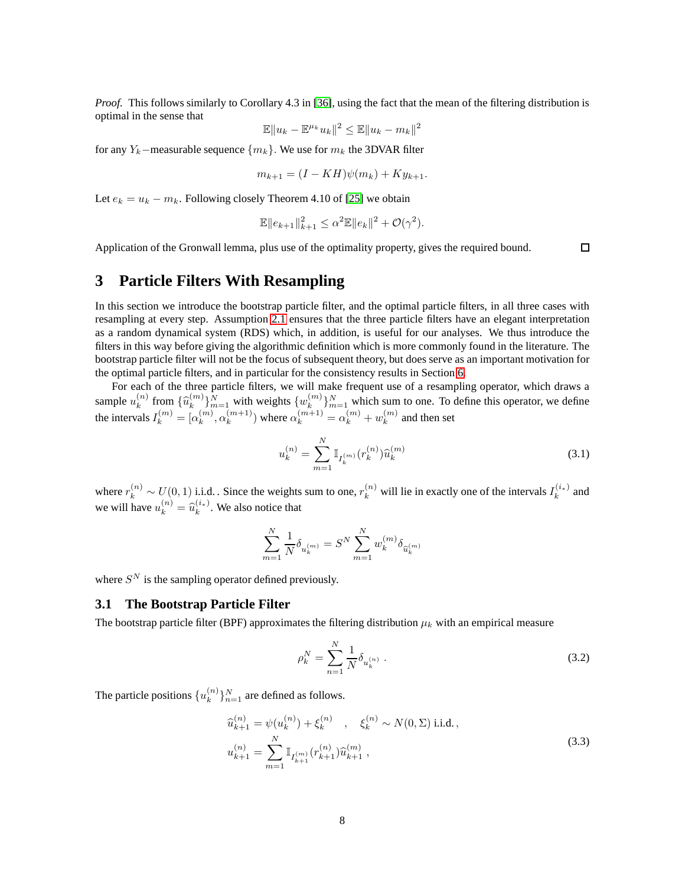*Proof.* This follows similarly to Corollary 4.3 in [\[36\]](#page-25-18), using the fact that the mean of the filtering distribution is optimal in the sense that 2

$$
\mathbb{E} \|u_k - \mathbb{E}^{\mu_k} u_k\|^2 \le \mathbb{E} \|u_k - m_k\|
$$

for any  $Y_k$ –measurable sequence  $\{m_k\}$ . We use for  $m_k$  the 3DVAR filter

$$
m_{k+1} = (I - KH)\psi(m_k) + Ky_{k+1}.
$$

Let  $e_k = u_k - m_k$ . Following closely Theorem 4.10 of [\[25\]](#page-25-2) we obtain

$$
\mathbb{E} \|e_{k+1}\|_{k+1}^2 \le \alpha^2 \mathbb{E} \|e_k\|^2 + \mathcal{O}(\gamma^2).
$$

<span id="page-7-0"></span>Application of the Gronwall lemma, plus use of the optimality property, gives the required bound.

<span id="page-7-1"></span> $\Box$ 

# **3 Particle Filters With Resampling**

In this section we introduce the bootstrap particle filter, and the optimal particle filters, in all three cases with resampling at every step. Assumption [2.1](#page-3-2) ensures that the three particle filters have an elegant interpretation as a random dynamical system (RDS) which, in addition, is useful for our analyses. We thus introduce the filters in this way before giving the algorithmic definition which is more commonly found in the literature. The bootstrap particle filter will not be the focus of subsequent theory, but does serve as an important motivation for the optimal particle filters, and in particular for the consistency results in Section [6.](#page-16-0)

For each of the three particle filters, we will make frequent use of a resampling operator, which draws a sample  $u_k^{(n)}$  $\widehat{u}_k^{(n)}$  from  $\{\widehat{u}_k^{(m)}\}$  $\{w_k^{(m)}\}_{m=1}^N$  with weights  $\{w_k^{(m)}\}$  ${k \choose k}_{m=1}^{N}$  which sum to one. To define this operator, we define the intervals  $I_k^{(m)} = [\alpha_k^{(m)}]$  $\binom{m}{k}, \alpha_k^{(m+1)}$  $\binom{m+1}{k}$  where  $\alpha_k^{(m+1)} = \alpha_k^{(m)} + w_k^{(m)}$  $k^{(m)}$  and then set

$$
u_k^{(n)} = \sum_{m=1}^{N} \mathbb{I}_{I_k^{(m)}}(r_k^{(n)}) \widehat{u}_k^{(m)}
$$
(3.1)

where  $r_k^{(n)} \sim U(0, 1)$  i.i.d.. Since the weights sum to one,  $r_k^{(n)}$  will lie in exactly one of the intervals  $I_k^{(i*)}$  $k^{(i*)}$  and we will have  $u_k^{(n)} = \widehat{u}_k^{(i_*)}$  $k^{(i_*)}$ . We also notice that

$$
\sum_{m=1}^{N} \frac{1}{N} \delta_{u_k^{(m)}} = S^N \sum_{m=1}^{N} w_k^{(m)} \delta_{\widehat{u}_k^{(m)}}
$$

where  $S<sup>N</sup>$  is the sampling operator defined previously.

#### **3.1 The Bootstrap Particle Filter**

The bootstrap particle filter (BPF) approximates the filtering distribution  $\mu_k$  with an empirical measure

<span id="page-7-3"></span>
$$
\rho_k^N = \sum_{n=1}^N \frac{1}{N} \delta_{u_k^{(n)}} \,. \tag{3.2}
$$

The particle positions  $\{u_k^{(n)}\}$  ${k \choose k}$ <sub> ${k=1}^N$ </sub> are defined as follows.

<span id="page-7-2"></span>
$$
\begin{aligned}\n\widehat{u}_{k+1}^{(n)} &= \psi(u_k^{(n)}) + \xi_k^{(n)} \quad , \quad \xi_k^{(n)} \sim N(0, \Sigma) \text{ i.i.d.}\,, \\
u_{k+1}^{(n)} &= \sum_{m=1}^N \mathbb{I}_{I_{k+1}^{(m)}}(r_{k+1}^{(n)}) \widehat{u}_{k+1}^{(m)} \,,\n\end{aligned} \tag{3.3}
$$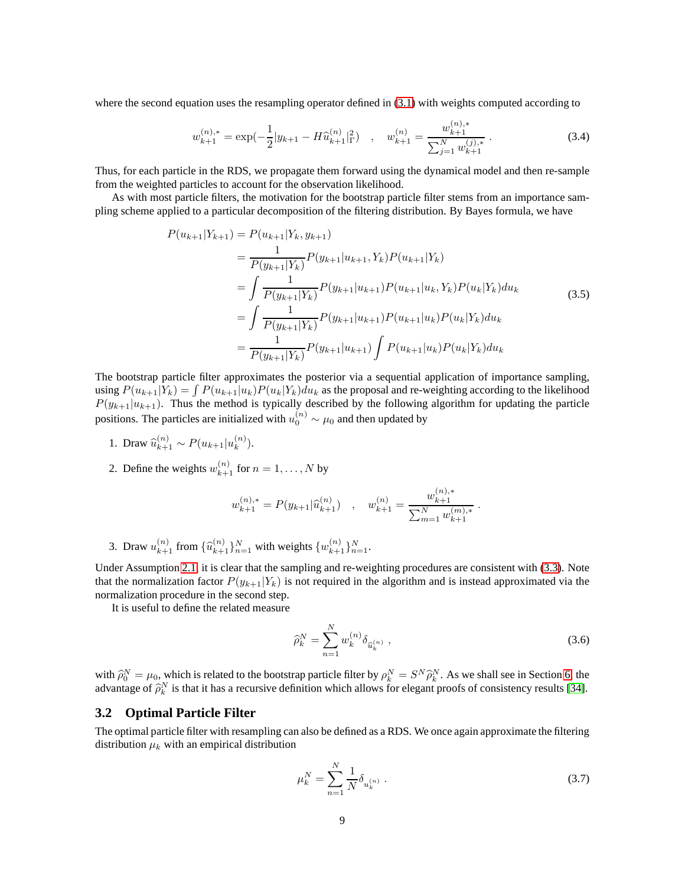where the second equation uses the resampling operator defined in  $(3.1)$  with weights computed according to

$$
w_{k+1}^{(n),*} = \exp(-\frac{1}{2}|y_{k+1} - H\widehat{u}_{k+1}^{(n)}|_{\Gamma}^2), \quad w_{k+1}^{(n)} = \frac{w_{k+1}^{(n),*}}{\sum_{j=1}^N w_{k+1}^{(j),*}}.
$$
 (3.4)

Thus, for each particle in the RDS, we propagate them forward using the dynamical model and then re-sample from the weighted particles to account for the observation likelihood.

As with most particle filters, the motivation for the bootstrap particle filter stems from an importance sampling scheme applied to a particular decomposition of the filtering distribution. By Bayes formula, we have

<span id="page-8-1"></span>
$$
P(u_{k+1}|Y_{k+1}) = P(u_{k+1}|Y_k, y_{k+1})
$$
  
\n
$$
= \frac{1}{P(y_{k+1}|Y_k)} P(y_{k+1}|u_{k+1}, Y_k) P(u_{k+1}|Y_k)
$$
  
\n
$$
= \int \frac{1}{P(y_{k+1}|Y_k)} P(y_{k+1}|u_{k+1}) P(u_{k+1}|u_k, Y_k) P(u_k|Y_k) du_k
$$
  
\n
$$
= \int \frac{1}{P(y_{k+1}|Y_k)} P(y_{k+1}|u_{k+1}) P(u_{k+1}|u_k) P(u_k|Y_k) du_k
$$
  
\n
$$
= \frac{1}{P(y_{k+1}|Y_k)} P(y_{k+1}|u_{k+1}) \int P(u_{k+1}|u_k) P(u_k|Y_k) du_k
$$
  
\n(3.5)

The bootstrap particle filter approximates the posterior via a sequential application of importance sampling, using  $P(u_{k+1}|Y_k) = \int P(u_{k+1}|u_k)P(u_k|Y_k)du_k$  as the proposal and re-weighting according to the likelihood  $P(y_{k+1}|u_{k+1})$ . Thus the method is typically described by the following algorithm for updating the particle positions. The particles are initialized with  $u_0^{(n)} \sim \mu_0$  and then updated by

1. Draw  $\hat{u}_{k+1}^{(n)} \sim P(u_{k+1}|u_k^{(n)})$  $\binom{n}{k}$ .

2. Define the weights 
$$
w_{k+1}^{(n)}
$$
 for  $n = 1, ..., N$  by

$$
w_{k+1}^{(n),*} = P(y_{k+1}|\widehat{u}_{k+1}^{(n)}) \quad , \quad w_{k+1}^{(n)} = \frac{w_{k+1}^{(n),*}}{\sum_{m=1}^{N} w_{k+1}^{(m),*}}.
$$

3. Draw  $u_{k+1}^{(n)}$  from  $\{\hat{u}_{k+1}^{(n)}\}_{n=1}^N$  with weights  $\{w_{k+1}^{(n)}\}_{n=1}^N$ .

Under Assumption [2.1,](#page-3-2) it is clear that the sampling and re-weighting procedures are consistent with [\(3.3\)](#page-7-2). Note that the normalization factor  $P(y_{k+1}|Y_k)$  is not required in the algorithm and is instead approximated via the normalization procedure in the second step.

It is useful to define the related measure

<span id="page-8-0"></span>
$$
\widehat{\rho}_k^N = \sum_{n=1}^N w_k^{(n)} \delta_{\widehat{u}_k^{(n)}},
$$
\n(3.6)

with  $\hat{\rho}_0^N = \mu_0$ , which is related to the bootstrap particle filter by  $\rho_k^N = S^N \hat{\rho}_k^N$ . As we shall see in Section [6,](#page-16-0) the advantage of  $\hat{\rho}_k^N$  is that it has a recursive definition which allows for elegant proofs of consistency results [\[34\]](#page-25-15).

## **3.2 Optimal Particle Filter**

The optimal particle filter with resampling can also be defined as a RDS. We once again approximate the filtering distribution  $\mu_k$  with an empirical distribution

<span id="page-8-2"></span>
$$
\mu_k^N = \sum_{n=1}^N \frac{1}{N} \delta_{u_k^{(n)}} \,. \tag{3.7}
$$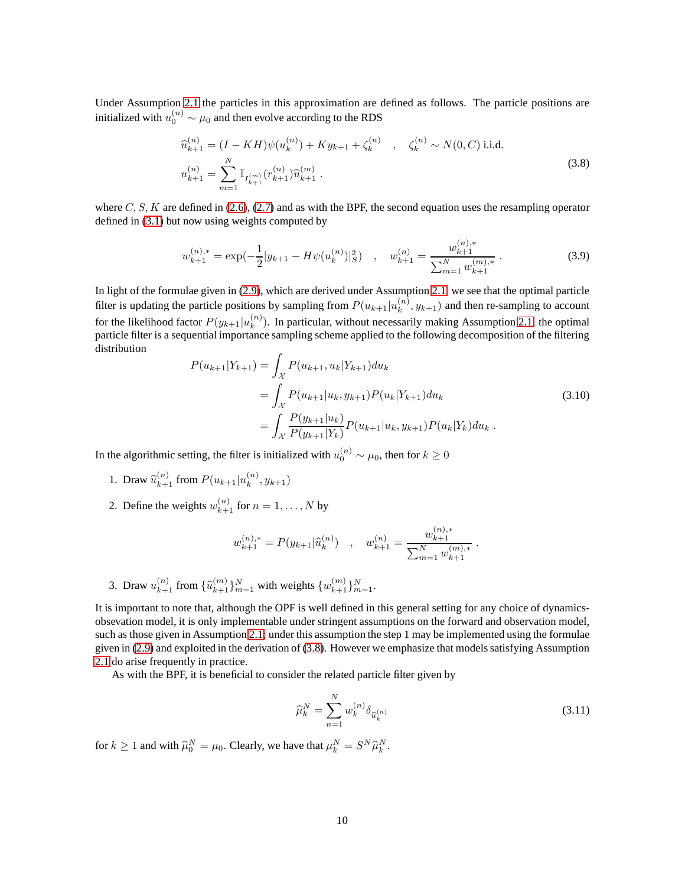Under Assumption [2.1](#page-3-2) the particles in this approximation are defined as follows. The particle positions are initialized with  $u_0^{(n)} \sim \mu_0$  and then evolve according to the RDS

<span id="page-9-0"></span>
$$
\begin{aligned}\n\widehat{u}_{k+1}^{(n)} &= (I - KH)\psi(u_k^{(n)}) + Ky_{k+1} + \zeta_k^{(n)} \quad , \quad \zeta_k^{(n)} \sim N(0, C) \text{ i.i.d.} \\
u_{k+1}^{(n)} &= \sum_{m=1}^N \mathbb{I}_{I_{k+1}^{(m)}}(r_{k+1}^{(n)}) \widehat{u}_{k+1}^{(m)} \,. \end{aligned} \tag{3.8}
$$

where  $C, S, K$  are defined in [\(2.6\)](#page-4-3), [\(2.7\)](#page-4-2) and as with the BPF, the second equation uses the resampling operator defined in [\(3.1\)](#page-7-1) but now using weights computed by

$$
w_{k+1}^{(n),*} = \exp(-\frac{1}{2}|y_{k+1} - H\psi(u_k^{(n)})|_{S}^{2}) \quad , \quad w_{k+1}^{(n)} = \frac{w_{k+1}^{(n),*}}{\sum_{m=1}^{N} w_{k+1}^{(m),*}} \tag{3.9}
$$

In light of the formulae given in [\(2.9\)](#page-4-5), which are derived under Assumption [2.1,](#page-3-2) we see that the optimal particle filter is updating the particle positions by sampling from  $P(u_{k+1}|u_k^{(n)})$  $k^{(n)}$ ,  $y_{k+1}$ ) and then re-sampling to account for the likelihood factor  $P(y_{k+1}|u_k^{(n)})$  $\binom{n}{k}$ . In particular, without necessarily making Assumption [2.1,](#page-3-2) the optimal particle filter is a sequential importance sampling scheme applied to the following decomposition of the filtering distribution

<span id="page-9-2"></span>
$$
P(u_{k+1}|Y_{k+1}) = \int_{\mathcal{X}} P(u_{k+1}, u_k|Y_{k+1}) du_k
$$
  
= 
$$
\int_{\mathcal{X}} P(u_{k+1}|u_k, y_{k+1}) P(u_k|Y_{k+1}) du_k
$$
  
= 
$$
\int_{\mathcal{X}} \frac{P(y_{k+1}|u_k)}{P(y_{k+1}|Y_k)} P(u_{k+1}|u_k, y_{k+1}) P(u_k|Y_k) du_k.
$$
 (3.10)

In the algorithmic setting, the filter is initialized with  $u_0^{(n)} \sim \mu_0$ , then for  $k \geq 0$ 

- 1. Draw  $\hat{u}_{k+1}^{(n)}$  from  $P(u_{k+1}|u_k^{(n)})$  $k^{(n)}$ ,  $y_{k+1}$ )
- 2. Define the weights  $w_{k+1}^{(n)}$  for  $n = 1, ..., N$  by

$$
w_{k+1}^{(n),*} = P(y_{k+1}|\widehat{u}_k^{(n)}) \quad , \quad w_{k+1}^{(n)} = \frac{w_{k+1}^{(n),*}}{\sum_{m=1}^N w_{k+1}^{(m),*}} \; .
$$

3. Draw  $u_{k+1}^{(n)}$  from  $\{\widehat{u}_{k+1}^{(m)}\}_{m=1}^N$  with weights  $\{w_{k+1}^{(m)}\}_{m=1}^N$ .

It is important to note that, although the OPF is well defined in this general setting for any choice of dynamicsobsevation model, it is only implementable under stringent assumptions on the forward and observation model, such as those given in Assumption [2.1;](#page-3-2) under this assumption the step 1 may be implemented using the formulae given in [\(2.9\)](#page-4-5) and exploited in the derivation of [\(3.8\)](#page-9-0). However we emphasize that models satisfying Assumption [2.1](#page-3-2) do arise frequently in practice.

As with the BPF, it is beneficial to consider the related particle filter given by

<span id="page-9-1"></span>
$$
\widehat{\mu}_k^N = \sum_{n=1}^N w_k^{(n)} \delta_{\widehat{u}_k^{(n)}} \tag{3.11}
$$

for  $k \ge 1$  and with  $\widehat{\mu}_0^N = \mu_0$ . Clearly, we have that  $\mu_k^N = S^N \widehat{\mu}_k^N$ .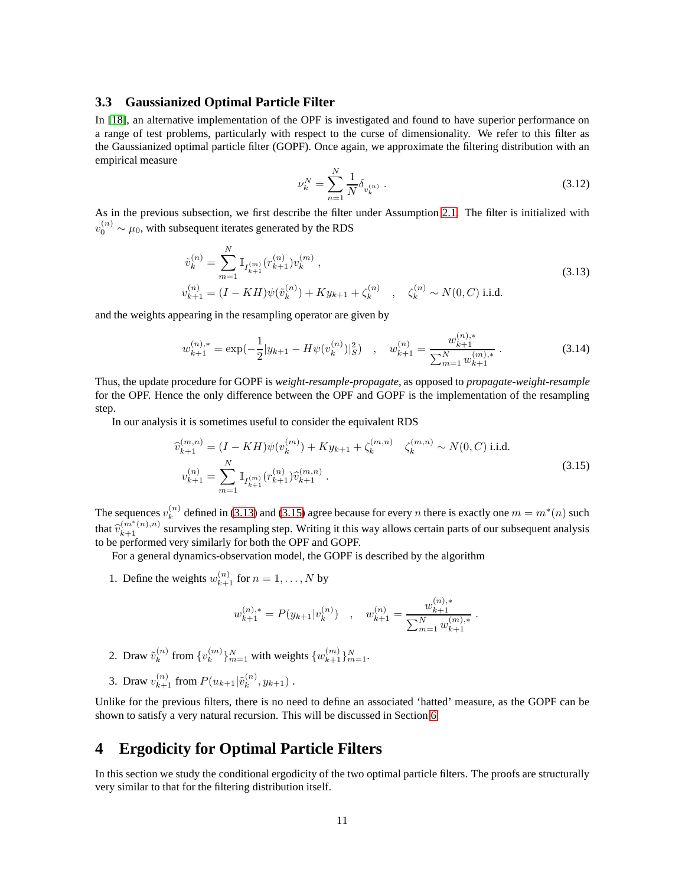#### **3.3 Gaussianized Optimal Particle Filter**

In [\[18\]](#page-24-18), an alternative implementation of the OPF is investigated and found to have superior performance on a range of test problems, particularly with respect to the curse of dimensionality. We refer to this filter as the Gaussianized optimal particle filter (GOPF). Once again, we approximate the filtering distribution with an empirical measure

<span id="page-10-3"></span>
$$
\nu_k^N = \sum_{n=1}^N \frac{1}{N} \delta_{v_k^{(n)}} \ . \tag{3.12}
$$

As in the previous subsection, we first describe the filter under Assumption [2.1.](#page-3-2) The filter is initialized with  $v_0^{(n)} \sim \mu_0$ , with subsequent iterates generated by the RDS

<span id="page-10-1"></span>
$$
\tilde{v}_k^{(n)} = \sum_{m=1}^N \mathbb{I}_{I_{k+1}^{(m)}}(r_{k+1}^{(n)}) v_k^{(m)},
$$
\n
$$
v_{k+1}^{(n)} = (I - KH)\psi(\tilde{v}_k^{(n)}) + Ky_{k+1} + \zeta_k^{(n)}, \quad \zeta_k^{(n)} \sim N(0, C) \text{ i.i.d.}
$$
\n(3.13)

and the weights appearing in the resampling operator are given by

$$
w_{k+1}^{(n),*} = \exp(-\frac{1}{2}|y_{k+1} - H\psi(v_k^{(n)})|_{S}^2) \quad , \quad w_{k+1}^{(n)} = \frac{w_{k+1}^{(n),*}}{\sum_{m=1}^{N} w_{k+1}^{(m),*}} \,. \tag{3.14}
$$

Thus, the update procedure for GOPF is *weight-resample-propagate*, as opposed to *propagate-weight-resample* for the OPF. Hence the only difference between the OPF and GOPF is the implementation of the resampling step.

In our analysis it is sometimes useful to consider the equivalent RDS

<span id="page-10-2"></span>
$$
\widehat{v}_{k+1}^{(m,n)} = (I - KH)\psi(v_k^{(m)}) + Ky_{k+1} + \zeta_k^{(m,n)} \quad \zeta_k^{(m,n)} \sim N(0, C) \text{ i.i.d.}
$$
\n
$$
v_{k+1}^{(n)} = \sum_{m=1}^{N} \mathbb{I}_{I_{k+1}^{(m)}}(r_{k+1}^{(n)}) \widehat{v}_{k+1}^{(m,n)}.
$$
\n(3.15)

The sequences  $v_k^{(n)}$  $\binom{n}{k}$  defined in [\(3.13\)](#page-10-1) and [\(3.15\)](#page-10-2) agree because for every *n* there is exactly one  $m = m^*(n)$  such that  $\hat{v}_{k+1}^{(m^*(n),n)}$  survives the resampling step. Writing it this way allows certain parts of our subsequent analysis to be performed very similarly for both the OPF and GOPF.

For a general dynamics-observation model, the GOPF is described by the algorithm

1. Define the weights  $w_{k+1}^{(n)}$  for  $n = 1, ..., N$  by

$$
w_{k+1}^{(n),*} = P(y_{k+1}|v_k^{(n)})
$$
,  $w_{k+1}^{(n)} = \frac{w_{k+1}^{(n),*}}{\sum_{m=1}^{N} w_{k+1}^{(m),*}}$ .

- 2. Draw  $\tilde{v}_k^{(n)}$  $\binom{n}{k}$  from  $\{v_k^{(m)}\}$  ${k \choose k}$   $\}_{m=1}^{N}$  with weights  $\{w_{k+1}^{(m)}\}_{m=1}^{N}$ .
- 3. Draw  $v_{k+1}^{(n)}$  from  $P(u_{k+1}|\tilde{v}_k^{(n)})$  $x_k^{(n)}, y_{k+1})$ .

Unlike for the previous filters, there is no need to define an associated 'hatted' measure, as the GOPF can be shown to satisfy a very natural recursion. This will be discussed in Section [6.](#page-16-0)

# <span id="page-10-0"></span>**4 Ergodicity for Optimal Particle Filters**

In this section we study the conditional ergodicity of the two optimal particle filters. The proofs are structurally very similar to that for the filtering distribution itself.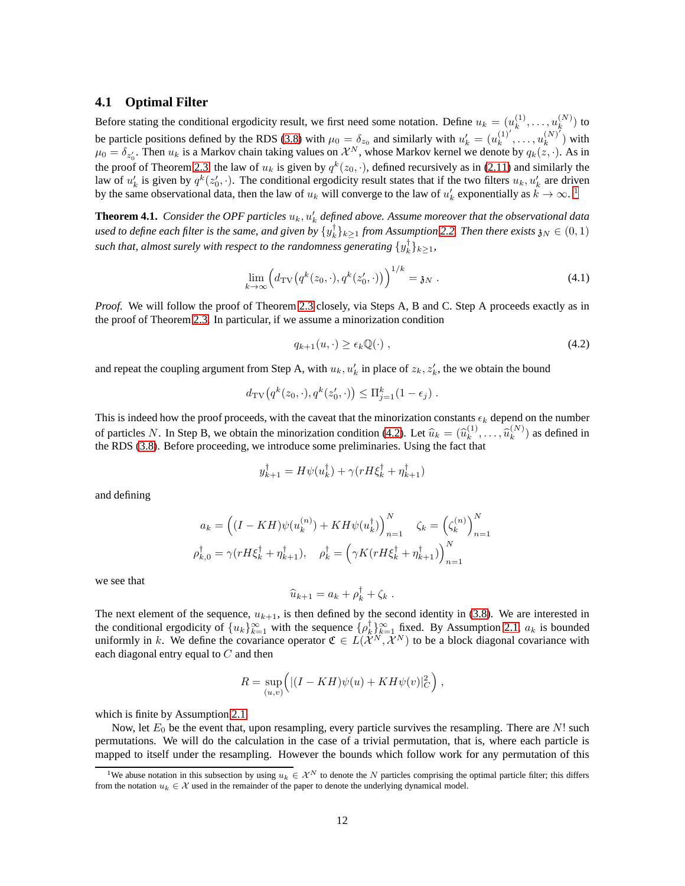#### **4.1 Optimal Filter**

Before stating the conditional ergodicity result, we first need some notation. Define  $u_k = (u_k^{(1)})$  $\binom{(1)}{k},\ldots,\binom{(N)}{k}$  $\binom{N}{k}$  to be particle positions defined by the RDS [\(3.8\)](#page-9-0) with  $\mu_0 = \delta_{z_0}$  and similarly with  $u'_k = (u_k^{(1)})^k$  $\binom{(1)'}{k}$ ,  $\dots$ ,  $u_k^{(N)}$  $\binom{N}{k}$ ) with  $\mu_0 = \delta_{z'_0}$ . Then  $u_k$  is a Markov chain taking values on  $\mathcal{X}^N$ , whose Markov kernel we denote by  $q_k(z, \cdot)$ . As in the proof of Theorem [2.3,](#page-5-3) the law of  $u_k$  is given by  $q^k(z_0, \cdot)$ , defined recursively as in [\(2.11\)](#page-5-4) and similarly the law of  $u'_k$  is given by  $q^k(z'_0, \cdot)$ . The conditional ergodicity result states that if the two filters  $u_k, u'_k$  are driven by the same observational data, then the law of  $u_k$  will converge to the law of  $u'_k$  exponentially as  $k \to \infty$ .<sup>[1](#page-11-0)</sup>

<span id="page-11-2"></span>**Theorem 4.1.** Consider the OPF particles  $u_k, u'_k$  defined above. Assume moreover that the observational data used to define each filter is the same, and given by  $\{y_k^\dagger\}_{k\geq 1}$  from Assumption [2.2.](#page-3-3) Then there exists  $\mathfrak{z}_N\in(0,1)$ such that, almost surely with respect to the randomness generating  $\{y_k^{\dagger}\}_{k\geq 1}$ ,

$$
\lim_{k \to \infty} \left( d_{\text{TV}}(q^k(z_0, \cdot), q^k(z'_0, \cdot)) \right)^{1/k} = \mathfrak{z}_N \ . \tag{4.1}
$$

*Proof.* We will follow the proof of Theorem [2.3](#page-5-3) closely, via Steps A, B and C. Step A proceeds exactly as in the proof of Theorem [2.3.](#page-5-3) In particular, if we assume a minorization condition

<span id="page-11-1"></span>
$$
q_{k+1}(u,\cdot) \ge \epsilon_k \mathbb{Q}(\cdot) \tag{4.2}
$$

and repeat the coupling argument from Step A, with  $u_k$ ,  $u'_k$  in place of  $z_k$ ,  $z'_k$ , the we obtain the bound

$$
d_{\mathrm{TV}}\big(q^k(z_0,\cdot),q^k(z'_0,\cdot)\big) \leq \Pi_{j=1}^k(1-\epsilon_j).
$$

This is indeed how the proof proceeds, with the caveat that the minorization constants  $\epsilon_k$  depend on the number of particles N. In Step B, we obtain the minorization condition [\(4.2\)](#page-11-1). Let  $\hat{u}_k = (\hat{u}_k^{(1)}$  $\widehat{u}_k^{(1)}, \ldots, \widehat{u}_k^{(N)}$  $\binom{N}{k}$  as defined in the RDS [\(3.8\)](#page-9-0). Before proceeding, we introduce some preliminaries. Using the fact that

$$
y_{k+1}^{\dagger} = H\psi(u_k^{\dagger}) + \gamma(rH\xi_k^{\dagger} + \eta_{k+1}^{\dagger})
$$

and defining

$$
a_k = \left( (I - KH)\psi(u_k^{(n)}) + KH\psi(u_k^{\dagger}) \right)_{n=1}^N \zeta_k = \left( \zeta_k^{(n)} \right)_{n=1}^N
$$
  

$$
\rho_{k,0}^{\dagger} = \gamma(rH\xi_k^{\dagger} + \eta_{k+1}^{\dagger}), \quad \rho_k^{\dagger} = \left( \gamma K(rH\xi_k^{\dagger} + \eta_{k+1}^{\dagger}) \right)_{n=1}^N
$$

we see that

$$
\widehat{u}_{k+1} = a_k + \rho_k^{\dagger} + \zeta_k.
$$

The next element of the sequence,  $u_{k+1}$ , is then defined by the second identity in [\(3.8\)](#page-9-0). We are interested in the conditional ergodicity of  $\{u_k\}_{k=1}^{\infty}$  with the sequence  $\{\rho_k^{\dagger}\}_{k=1}^{\infty}$  fixed. By Assumption [2.1,](#page-3-2)  $a_k$  is bounded uniformly in k. We define the covariance operator  $\mathfrak{C} \in L(\mathcal{X}^N, \mathcal{X}^N)$  to be a block diagonal covariance with each diagonal entry equal to  $C$  and then

$$
R = \sup_{(u,v)} \Big( |(I - KH)\psi(u) + KH\psi(v)|_C^2 \Big) ,
$$

which is finite by Assumption [2.1.](#page-3-2)

Now, let  $E_0$  be the event that, upon resampling, every particle survives the resampling. There are  $N!$  such permutations. We will do the calculation in the case of a trivial permutation, that is, where each particle is mapped to itself under the resampling. However the bounds which follow work for any permutation of this

<span id="page-11-0"></span><sup>&</sup>lt;sup>1</sup>We abuse notation in this subsection by using  $u_k \in \mathcal{X}^N$  to denote the N particles comprising the optimal particle filter; this differs from the notation  $u_k \in \mathcal{X}$  used in the remainder of the paper to denote the underlying dynamical model.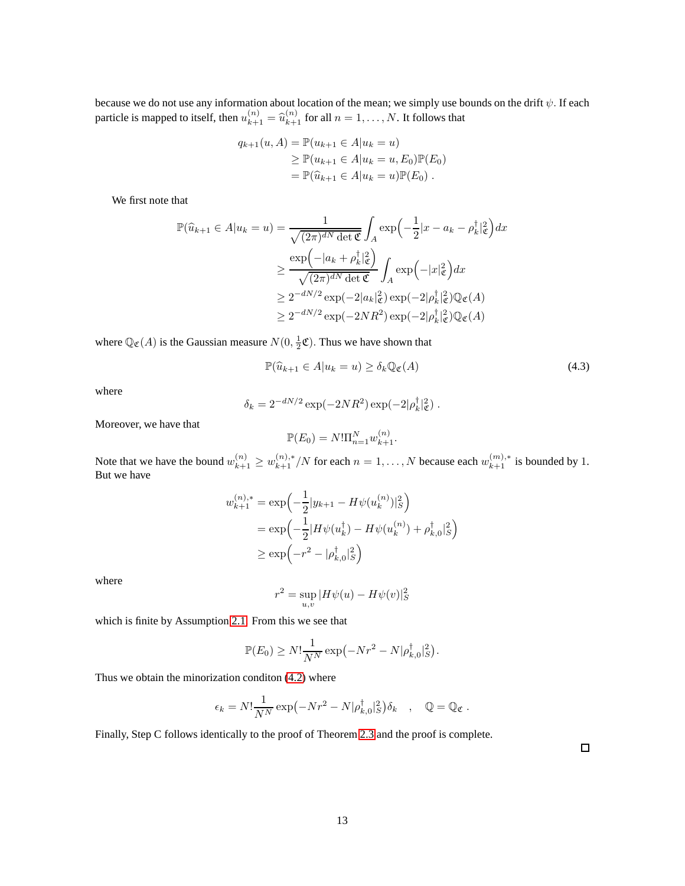because we do not use any information about location of the mean; we simply use bounds on the drift  $\psi.$  If each particle is mapped to itself, then  $u_{k+1}^{(n)} = \hat{u}_{k+1}^{(n)}$  for all  $n = 1, ..., N$ . It follows that

$$
q_{k+1}(u, A) = \mathbb{P}(u_{k+1} \in A | u_k = u)
$$
  
\n
$$
\geq \mathbb{P}(u_{k+1} \in A | u_k = u, E_0) \mathbb{P}(E_0)
$$
  
\n
$$
= \mathbb{P}(\hat{u}_{k+1} \in A | u_k = u) \mathbb{P}(E_0).
$$

We first note that

$$
\mathbb{P}(\widehat{u}_{k+1} \in A | u_k = u) = \frac{1}{\sqrt{(2\pi)^{dN} \det \mathfrak{C}}} \int_A \exp\left(-\frac{1}{2}|x - a_k - \rho_k^{\dagger}|^2_{\mathfrak{C}}\right) dx
$$
  
\n
$$
\geq \frac{\exp\left(-|a_k + \rho_k^{\dagger}|^2_{\mathfrak{C}}\right)}{\sqrt{(2\pi)^{dN} \det \mathfrak{C}}} \int_A \exp\left(-|x|_{\mathfrak{C}}^2\right) dx
$$
  
\n
$$
\geq 2^{-dN/2} \exp(-2|a_k|_{\mathfrak{C}}^2) \exp(-2|\rho_k^{\dagger}|^2_{\mathfrak{C}}) \mathbb{Q}_{\mathfrak{C}}(A)
$$
  
\n
$$
\geq 2^{-dN/2} \exp(-2NR^2) \exp(-2|\rho_k^{\dagger}|^2_{\mathfrak{C}}) \mathbb{Q}_{\mathfrak{C}}(A)
$$

where  $\mathbb{Q}_{\mathfrak{C}}(A)$  is the Gaussian measure  $N(0, \frac{1}{2}\mathfrak{C})$ . Thus we have shown that

$$
\mathbb{P}(\widehat{u}_{k+1} \in A | u_k = u) \ge \delta_k \mathbb{Q}_\mathfrak{C}(A) \tag{4.3}
$$

where

$$
\delta_k = 2^{-dN/2} \exp(-2NR^2) \exp(-2|\rho_k^{\dagger}|_{\mathfrak{C}}^2).
$$

Moreover, we have that

$$
\mathbb{P}(E_0) = N! \Pi_{n=1}^N w_{k+1}^{(n)}.
$$

Note that we have the bound  $w_{k+1}^{(n)} \geq w_{k+1}^{(n),*} / N$  for each  $n = 1, ..., N$  because each  $w_{k+1}^{(m),*}$  is bounded by 1. But we have

$$
w_{k+1}^{(n),*} = \exp\left(-\frac{1}{2}|y_{k+1} - H\psi(u_k^{(n)})|_{S}^{2}\right)
$$
  
= 
$$
\exp\left(-\frac{1}{2}|H\psi(u_k^{\dagger}) - H\psi(u_k^{(n)}) + \rho_{k,0}^{\dagger}|_{S}^{2}\right)
$$
  

$$
\geq \exp\left(-r^2 - |\rho_{k,0}^{\dagger}|_{S}^{2}\right)
$$

where

$$
r^2 = \sup_{u,v} |H\psi(u) - H\psi(v)|_S^2
$$

which is finite by Assumption [2.1.](#page-3-2) From this we see that

$$
\mathbb{P}(E_0) \ge N! \frac{1}{N^N} \exp(-Nr^2 - N|\rho_{k,0}^{\dagger}|_S^2).
$$

Thus we obtain the minorization conditon [\(4.2\)](#page-11-1) where

$$
\epsilon_k = N! \frac{1}{N^N} \exp(-Nr^2 - N|\rho_{k,0}^{\dagger}|_S^2) \delta_k \quad , \quad \mathbb{Q} = \mathbb{Q}_{\mathfrak{C}}.
$$

Finally, Step C follows identically to the proof of Theorem [2.3](#page-5-3) and the proof is complete.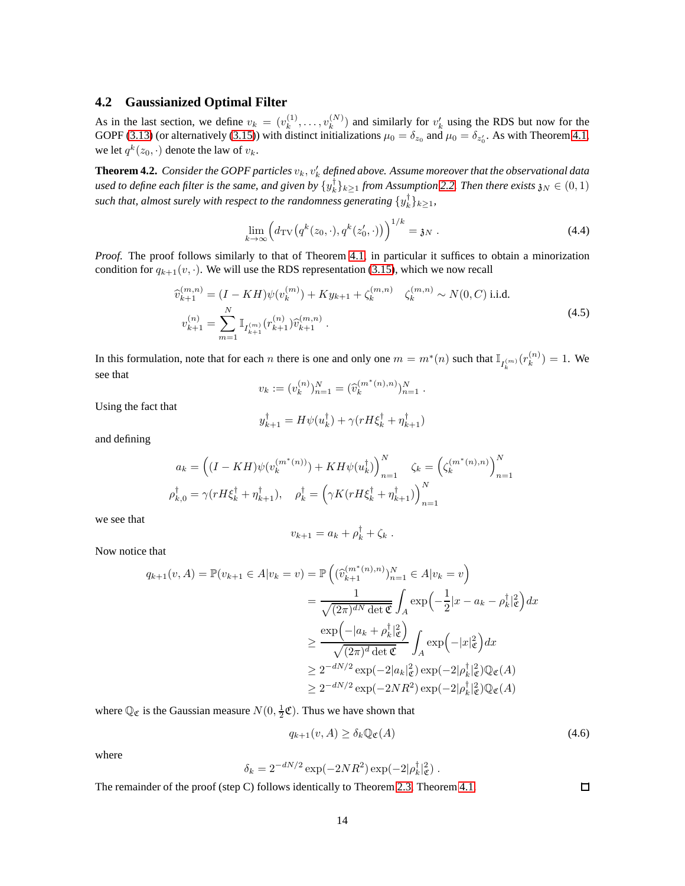## **4.2 Gaussianized Optimal Filter**

As in the last section, we define  $v_k = (v_k^{(1)})$  $v_k^{(1)}, \ldots, v_k^{(N)}$  $\binom{N}{k}$  and similarly for  $v'_k$  using the RDS but now for the GOPF [\(3.13\)](#page-10-1) (or alternatively [\(3.15\)](#page-10-2)) with distinct initializations  $\mu_0 = \delta_{z_0}$  and  $\mu_0 = \delta_{z'_0}$ . As with Theorem [4.1,](#page-11-2) we let  $q^k(z_0, \cdot)$  denote the law of  $v_k$ .

 ${\bf Theorem~4.2.}$  *Consider the GOPF particles*  $v_k,v'_k$  *defined above. Assume moreover that the observational data* used to define each filter is the same, and given by  $\{y_k^\dagger\}_{k\geq 1}$  from Assumption [2.2.](#page-3-3) Then there exists  $\mathfrak{z}_N\in(0,1)$ such that, almost surely with respect to the randomness generating  $\{y_k^{\dagger}\}_{k\geq 1}$ ,

$$
\lim_{k \to \infty} \left( d_{\text{TV}}(q^k(z_0, \cdot), q^k(z'_0, \cdot)) \right)^{1/k} = \mathfrak{z}_N \ . \tag{4.4}
$$

*Proof.* The proof follows similarly to that of Theorem [4.1,](#page-11-2) in particular it suffices to obtain a minorization condition for  $q_{k+1}(v, \cdot)$ . We will use the RDS representation [\(3.15\)](#page-10-2), which we now recall

$$
\widehat{v}_{k+1}^{(m,n)} = (I - KH)\psi(v_k^{(m)}) + Ky_{k+1} + \zeta_k^{(m,n)} \quad \zeta_k^{(m,n)} \sim N(0, C) \text{ i.i.d.}
$$
\n
$$
v_{k+1}^{(n)} = \sum_{m=1}^{N} \mathbb{I}_{I_{k+1}^{(m)}}(r_{k+1}^{(n)}) \widehat{v}_{k+1}^{(m,n)}.
$$
\n(4.5)

In this formulation, note that for each n there is one and only one  $m = m^*(n)$  such that  $\mathbb{I}_{I_k^{(m)}}(r_k^{(n)})$  $\binom{n}{k} = 1$ . We see that

$$
v_k := (v_k^{(n)})_{n=1}^N = (\widehat{v}_k^{(m^*(n),n)})_{n=1}^N.
$$

Using the fact that

$$
y_{k+1}^{\dagger} = H\psi(u_k^{\dagger}) + \gamma(rH\xi_k^{\dagger} + \eta_{k+1}^{\dagger})
$$

and defining

$$
a_k = \left( (I - KH)\psi(v_k^{(m^*(n))}) + KH\psi(u_k^{\dagger}) \right)_{n=1}^N \zeta_k = \left( \zeta_k^{(m^*(n),n)} \right)_{n=1}^N
$$
  

$$
\rho_{k,0}^{\dagger} = \gamma(rH\xi_k^{\dagger} + \eta_{k+1}^{\dagger}), \quad \rho_k^{\dagger} = \left( \gamma K(rH\xi_k^{\dagger} + \eta_{k+1}^{\dagger}) \right)_{n=1}^N
$$

we see that

$$
v_{k+1} = a_k + \rho_k^{\dagger} + \zeta_k.
$$

Now notice that

$$
q_{k+1}(v, A) = \mathbb{P}(v_{k+1} \in A | v_k = v) = \mathbb{P}\left((\widehat{v}_{k+1}^{(m^*(n), n)})_{n=1}^N \in A | v_k = v\right)
$$
  

$$
= \frac{1}{\sqrt{(2\pi)^{dN} \det \mathfrak{C}}} \int_A \exp\left(-\frac{1}{2}|x - a_k - \rho_k^{\dagger}|^2_{\mathfrak{C}}\right) dx
$$
  

$$
\geq \frac{\exp\left(-|a_k + \rho_k^{\dagger}|^2_{\mathfrak{C}}\right)}{\sqrt{(2\pi)^{d} \det \mathfrak{C}}} \int_A \exp\left(-|x|_{\mathfrak{C}}^2\right) dx
$$
  

$$
\geq 2^{-dN/2} \exp(-2|a_k|_{\mathfrak{C}}^2) \exp(-2|\rho_k^{\dagger}|^2_{\mathfrak{C}}) \mathbb{Q}_{\mathfrak{C}}(A)
$$
  

$$
\geq 2^{-dN/2} \exp(-2NR^2) \exp(-2|\rho_k^{\dagger}|^2_{\mathfrak{C}}) \mathbb{Q}_{\mathfrak{C}}(A)
$$

where  $\mathbb{Q}_{\mathfrak{C}}$  is the Gaussian measure  $N(0, \frac{1}{2}\mathfrak{C})$ . Thus we have shown that

$$
q_{k+1}(v, A) \ge \delta_k \mathbb{Q}_{\mathfrak{C}}(A) \tag{4.6}
$$

 $\Box$ 

where

$$
\delta_k = 2^{-dN/2} \exp(-2NR^2) \exp(-2|\rho_k^{\dagger}|^2_{\mathfrak{C}}).
$$

The remainder of the proof (step C) follows identically to Theorem [2.3,](#page-5-3) Theorem [4.1.](#page-11-2)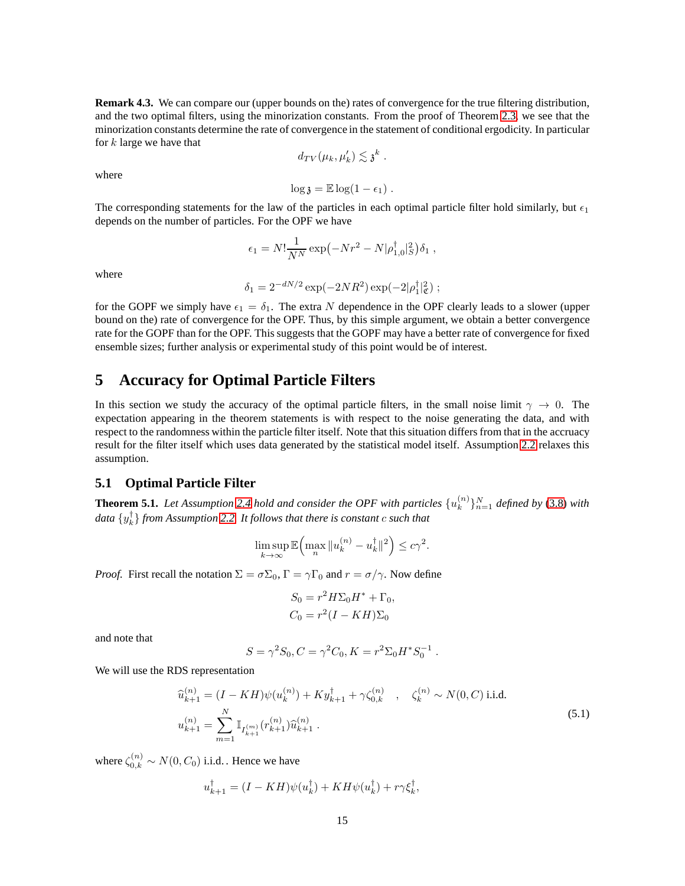**Remark 4.3.** We can compare our (upper bounds on the) rates of convergence for the true filtering distribution, and the two optimal filters, using the minorization constants. From the proof of Theorem [2.3,](#page-5-3) we see that the minorization constants determine the rate of convergence in the statement of conditional ergodicity. In particular for  $k$  large we have that

$$
d_{TV}(\mu_k, \mu'_k) \lesssim \mathfrak{z}^k.
$$

where

$$
\log \mathfrak{z} = \mathbb{E} \log (1 - \epsilon_1) \; .
$$

The corresponding statements for the law of the particles in each optimal particle filter hold similarly, but  $\epsilon_1$ depends on the number of particles. For the OPF we have

$$
\epsilon_1 = N! \frac{1}{N^N} \exp(-N r^2 - N |\rho_{1,0}^{\dagger}|_S^2) \delta_1 ,
$$

where

$$
\delta_1 = 2^{-dN/2} \exp(-2NR^2) \exp(-2|\rho_1^{\dagger}|^2_{\mathfrak{C}});
$$

for the GOPF we simply have  $\epsilon_1 = \delta_1$ . The extra N dependence in the OPF clearly leads to a slower (upper bound on the) rate of convergence for the OPF. Thus, by this simple argument, we obtain a better convergence rate for the GOPF than for the OPF. This suggests that the GOPF may have a better rate of convergence for fixed ensemble sizes; further analysis or experimental study of this point would be of interest.

# <span id="page-14-0"></span>**5 Accuracy for Optimal Particle Filters**

In this section we study the accuracy of the optimal particle filters, in the small noise limit  $\gamma \to 0$ . The expectation appearing in the theorem statements is with respect to the noise generating the data, and with respect to the randomness within the particle filter itself. Note that this situation differs from that in the accruacy result for the filter itself which uses data generated by the statistical model itself. Assumption [2.2](#page-3-3) relaxes this assumption.

## **5.1 Optimal Particle Filter**

<span id="page-14-2"></span>**Theorem 5.1.** Let Assumption [2.4](#page-6-0) hold and consider the OPF with particles  $\{u_k^{(n)}\}$  ${k \choose k}$ <sup>[n]</sup><sub>n=1</sub> defined by [\(3.8\)](#page-9-0) with *data* {y † k } *from Assumption [2.2.](#page-3-3) It follows that there is constant* c *such that*

$$
\limsup_{k\to\infty}\mathbb{E}\Bigl(\max_n\|u_k^{(n)}-u_k^\dagger\|^2\Bigr)\leq c\gamma^2.
$$

*Proof.* First recall the notation  $\Sigma = \sigma \Sigma_0$ ,  $\Gamma = \gamma \Gamma_0$  and  $r = \sigma / \gamma$ . Now define

$$
S_0 = r^2 H \Sigma_0 H^* + \Gamma_0,
$$
  
\n
$$
C_0 = r^2 (I - KH) \Sigma_0
$$

and note that

$$
S = \gamma^2 S_0, C = \gamma^2 C_0, K = r^2 \Sigma_0 H^* S_0^{-1}.
$$

We will use the RDS representation

<span id="page-14-1"></span>
$$
\begin{aligned}\n\widehat{u}_{k+1}^{(n)} &= (I - KH)\psi(u_k^{(n)}) + Ky_{k+1}^\dagger + \gamma \zeta_{0,k}^{(n)} \quad , \quad \zeta_k^{(n)} \sim N(0, C) \text{ i.i.d.} \\
u_{k+1}^{(n)} &= \sum_{m=1}^N \mathbb{I}_{I_{k+1}^{(m)}}(r_{k+1}^{(n)}) \widehat{u}_{k+1}^{(n)} \,. \end{aligned} \tag{5.1}
$$

where  $\zeta_{0,k}^{(n)} \sim N(0, C_0)$  i.i.d. . Hence we have

$$
u_{k+1}^{\dagger} = (I - KH)\psi(u_k^{\dagger}) + KH\psi(u_k^{\dagger}) + r\gamma \xi_k^{\dagger},
$$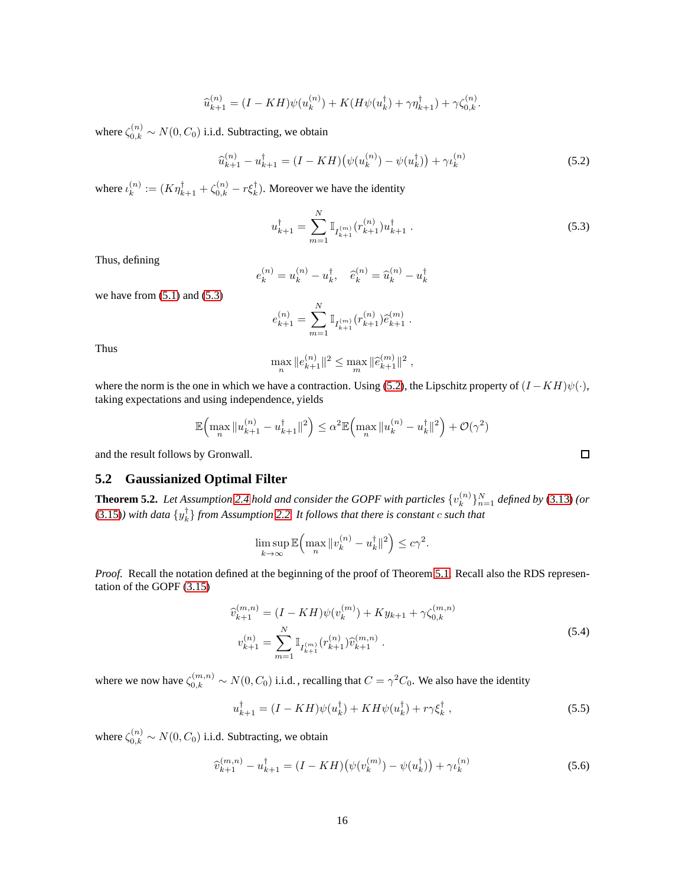$$
\widehat{u}_{k+1}^{(n)} = (I - KH)\psi(u_k^{(n)}) + K(H\psi(u_k^{\dagger}) + \gamma \eta_{k+1}^{\dagger}) + \gamma \zeta_{0,k}^{(n)}.
$$

where  $\zeta_{0,k}^{(n)} \sim N(0, C_0)$  i.i.d. Subtracting, we obtain

<span id="page-15-1"></span>
$$
\widehat{u}_{k+1}^{(n)} - u_{k+1}^{\dagger} = (I - KH)\big(\psi(u_k^{(n)}) - \psi(u_k^{\dagger})\big) + \gamma \iota_k^{(n)} \tag{5.2}
$$

where  $\iota_k^{(n)}$  $\kappa_k^{(n)} := (K\eta_{k+1}^{\dagger} + \zeta_{0,k}^{(n)} - r\xi_k^{\dagger})$ . Moreover we have the identity

<span id="page-15-0"></span>
$$
u_{k+1}^{\dagger} = \sum_{m=1}^{N} \mathbb{I}_{I_{k+1}^{(m)}}(r_{k+1}^{(n)}) u_{k+1}^{\dagger} . \tag{5.3}
$$

Thus, defining

$$
e_k^{(n)} = u_k^{(n)} - u_k^{\dagger}, \quad \hat{e}_k^{(n)} = \hat{u}_k^{(n)} - u_k^{\dagger}
$$

we have from  $(5.1)$  and  $(5.3)$ 

$$
e_{k+1}^{(n)} = \sum_{m=1}^{N} \mathbb{I}_{I_{k+1}^{(m)}}(r_{k+1}^{(n)}) \widehat{e}_{k+1}^{(m)}.
$$

Thus

$$
\max_{n} \|e_{k+1}^{(n)}\|^2 \le \max_{m} \|\widehat{e}_{k+1}^{(m)}\|^2,
$$

where the norm is the one in which we have a contraction. Using [\(5.2\)](#page-15-1), the Lipschitz property of  $(I - KH)\psi(\cdot)$ , taking expectations and using independence, yields

$$
\mathbb{E}\Big(\max_{n} \|u_{k+1}^{(n)} - u_{k+1}^{\dagger}\|^2\Big) \leq \alpha^2 \mathbb{E}\Big(\max_{n} \|u_k^{(n)} - u_k^{\dagger}\|^2\Big) + \mathcal{O}(\gamma^2)
$$

and the result follows by Gronwall.

## **5.2 Gaussianized Optimal Filter**

**Theorem 5.2.** Let Assumption [2.4](#page-6-0) hold and consider the GOPF with particles  $\{v_k^{(n)}\}$  ${k \choose k}$ <sup>[n]</sup><sub>n=1</sub> *defined by* [\(3.13\)](#page-10-1) (*or* [\(3.15\)](#page-10-2)) with data  $\{y_k^{\dagger}\}$  from Assumption [2.2.](#page-3-3) It follows that there is constant c such that

$$
\limsup_{k \to \infty} \mathbb{E} \Big( \max_n \|v_k^{(n)} - u_k^{\dagger}\|^2 \Big) \leq c\gamma^2.
$$

*Proof.* Recall the notation defined at the beginning of the proof of Theorem [5.1.](#page-14-2) Recall also the RDS representation of the GOPF [\(3.15\)](#page-10-2)

<span id="page-15-2"></span>
$$
\widehat{v}_{k+1}^{(m,n)} = (I - KH)\psi(v_k^{(m)}) + Ky_{k+1} + \gamma \zeta_{0,k}^{(m,n)}
$$
  

$$
v_{k+1}^{(n)} = \sum_{m=1}^{N} \mathbb{I}_{I_{k+1}^{(m)}}(r_{k+1}^{(n)}) \widehat{v}_{k+1}^{(m,n)}.
$$
\n(5.4)

where we now have  $\zeta_{0,k}^{(m,n)} \sim N(0, C_0)$  i.i.d., recalling that  $C = \gamma^2 C_0$ . We also have the identity

$$
u_{k+1}^{\dagger} = (I - KH)\psi(u_k^{\dagger}) + KH\psi(u_k^{\dagger}) + r\gamma \xi_k^{\dagger} , \qquad (5.5)
$$

where  $\zeta_{0,k}^{(n)} \sim N(0, C_0)$  i.i.d. Subtracting, we obtain

<span id="page-15-3"></span>
$$
\hat{v}_{k+1}^{(m,n)} - u_{k+1}^{\dagger} = (I - KH)\big(\psi(v_k^{(m)}) - \psi(u_k^{\dagger})\big) + \gamma \iota_k^{(n)} \tag{5.6}
$$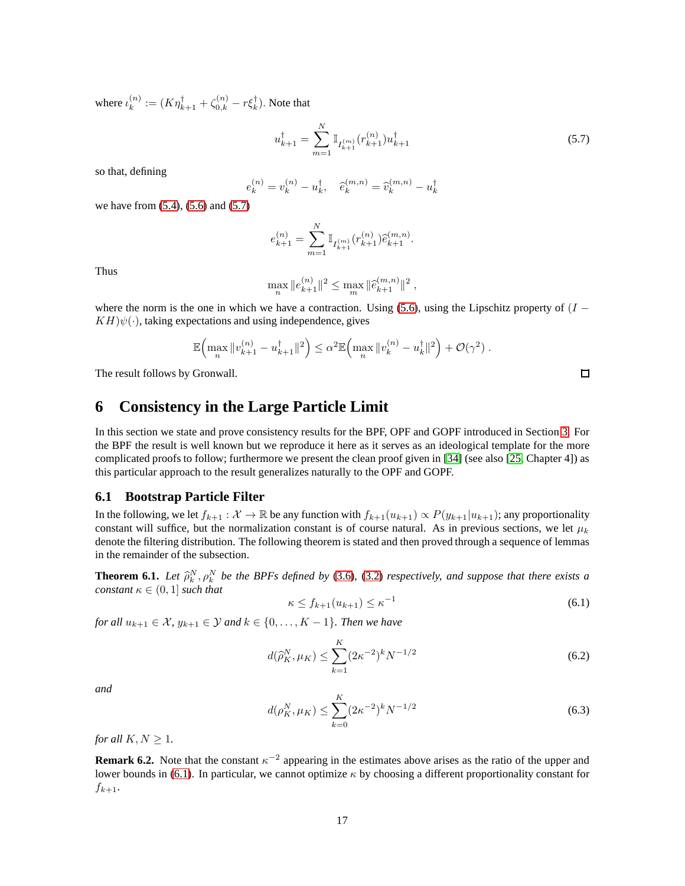where  $\iota_k^{(n)}$  $k_{k}^{(n)} := (K\eta_{k+1}^{\dagger} + \zeta_{0,k}^{(n)} - r\xi_{k}^{\dagger}).$  Note that

<span id="page-16-1"></span>
$$
u_{k+1}^{\dagger} = \sum_{m=1}^{N} \mathbb{I}_{I_{k+1}^{(m)}}(r_{k+1}^{(n)}) u_{k+1}^{\dagger}
$$
 (5.7)

so that, defining

$$
e_k^{(n)} = v_k^{(n)} - u_k^{\dagger}, \quad \hat{e}_k^{(m,n)} = \hat{v}_k^{(m,n)} - u_k^{\dagger}
$$

we have from [\(5.4\)](#page-15-2), [\(5.6\)](#page-15-3) and [\(5.7\)](#page-16-1)

$$
e_{k+1}^{(n)} = \sum_{m=1}^{N} \mathbb{I}_{I_{k+1}^{(m)}}(r_{k+1}^{(n)}) \hat{e}_{k+1}^{(m,n)}.
$$

Thus

$$
\max_{n} \|e_{k+1}^{(n)}\|^2 \le \max_{m} \|\widehat{e}_{k+1}^{(m,n)}\|^2,
$$

where the norm is the one in which we have a contraction. Using [\(5.6\)](#page-15-3), using the Lipschitz property of  $(I KH\psi(\cdot)$ , taking expectations and using independence, gives

$$
\mathbb{E}\Bigl(\max_n\|v_{k+1}^{(n)}-u_{k+1}^\dagger\|^2\Bigr)\leq \alpha^2\mathbb{E}\Bigl(\max_n\|v_k^{(n)}-u_k^\dagger\|^2\Bigr)+\mathcal{O}(\gamma^2)\;.
$$

<span id="page-16-0"></span>The result follows by Gronwall.

# **6 Consistency in the Large Particle Limit**

In this section we state and prove consistency results for the BPF, OPF and GOPF introduced in Section [3.](#page-7-0) For the BPF the result is well known but we reproduce it here as it serves as an ideological template for the more complicated proofs to follow; furthermore we present the clean proof given in [\[34\]](#page-25-15) (see also [\[25,](#page-25-2) Chapter 4]) as this particular approach to the result generalizes naturally to the OPF and GOPF.

#### **6.1 Bootstrap Particle Filter**

In the following, we let  $f_{k+1} : \mathcal{X} \to \mathbb{R}$  be any function with  $f_{k+1}(u_{k+1}) \propto P(y_{k+1}|u_{k+1})$ ; any proportionality constant will suffice, but the normalization constant is of course natural. As in previous sections, we let  $\mu_k$ denote the filtering distribution. The following theorem is stated and then proved through a sequence of lemmas in the remainder of the subsection.

<span id="page-16-3"></span>**Theorem 6.1.** *Let*  $\hat{\rho}_k^N$ ,  $\rho_k^N$  *be the BPFs defined by* [\(3.6\)](#page-8-0), [\(3.2\)](#page-7-3) *respectively, and suppose that there exists a constant*  $\kappa \in (0,1]$  *such that* 

<span id="page-16-5"></span><span id="page-16-4"></span><span id="page-16-2"></span>
$$
\kappa \le f_{k+1}(u_{k+1}) \le \kappa^{-1} \tag{6.1}
$$

*for all*  $u_{k+1} \in \mathcal{X}$ ,  $y_{k+1} \in \mathcal{Y}$  *and*  $k \in \{0, \ldots, K-1\}$ *. Then we have* 

$$
d(\widehat{\rho}_K^N, \mu_K) \le \sum_{k=1}^K (2\kappa^{-2})^k N^{-1/2}
$$
\n(6.2)

*and*

$$
d(\rho_K^N, \mu_K) \le \sum_{k=0}^K (2\kappa^{-2})^k N^{-1/2}
$$
\n(6.3)

*for all*  $K, N \geq 1$ *.* 

**Remark 6.2.** Note that the constant  $\kappa^{-2}$  appearing in the estimates above arises as the ratio of the upper and lower bounds in [\(6.1\)](#page-16-2). In particular, we cannot optimize  $\kappa$  by choosing a different proportionality constant for  $f_{k+1}$ .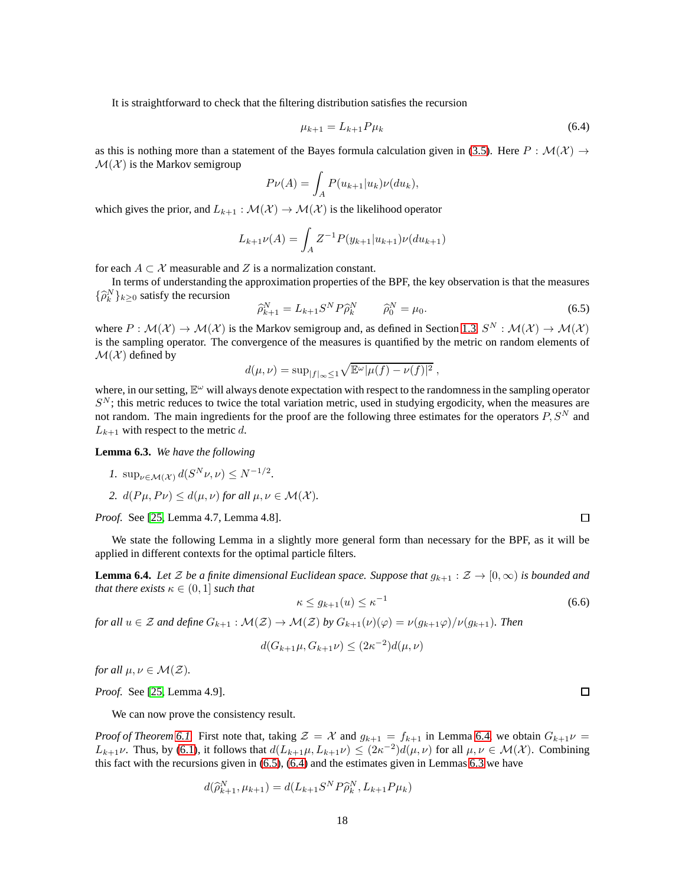It is straightforward to check that the filtering distribution satisfies the recursion

<span id="page-17-2"></span>
$$
\mu_{k+1} = L_{k+1} P \mu_k \tag{6.4}
$$

as this is nothing more than a statement of the Bayes formula calculation given in [\(3.5\)](#page-8-1). Here  $P : \mathcal{M}(\mathcal{X}) \to$  $\mathcal{M}(\mathcal{X})$  is the Markov semigroup

$$
P\nu(A) = \int_A P(u_{k+1}|u_k)\nu(du_k),
$$

which gives the prior, and  $L_{k+1} : \mathcal{M}(\mathcal{X}) \to \mathcal{M}(\mathcal{X})$  is the likelihood operator

$$
L_{k+1}\nu(A) = \int_A Z^{-1}P(y_{k+1}|u_{k+1})\nu(du_{k+1})
$$

for each  $A \subset \mathcal{X}$  measurable and Z is a normalization constant.

In terms of understanding the approximation properties of the BPF, the key observation is that the measures  $\{\hat{\rho}_k^N\}_{k\geq 0}$  satisfy the recursion

<span id="page-17-1"></span>
$$
\widehat{\rho}_{k+1}^N = L_{k+1} S^N P \widehat{\rho}_k^N \qquad \widehat{\rho}_0^N = \mu_0. \tag{6.5}
$$

where  $P: \mathcal{M}(\mathcal{X}) \to \mathcal{M}(\mathcal{X})$  is the Markov semigroup and, as defined in Section [1.3,](#page-2-0)  $S^N: \mathcal{M}(\mathcal{X}) \to \mathcal{M}(\mathcal{X})$ is the sampling operator. The convergence of the measures is quantified by the metric on random elements of  $\mathcal{M}(\mathcal{X})$  defined by

$$
d(\mu, \nu) = \sup_{|f|_{\infty} \le 1} \sqrt{\mathbb{E}^{\omega} |\mu(f) - \nu(f)|^2} ,
$$

where, in our setting,  $\mathbb{E}^{\omega}$  will always denote expectation with respect to the randomness in the sampling operator  $S<sup>N</sup>$ ; this metric reduces to twice the total variation metric, used in studying ergodicity, when the measures are not random. The main ingredients for the proof are the following three estimates for the operators  $P, S^N$  and  $L_{k+1}$  with respect to the metric d.

<span id="page-17-3"></span>**Lemma 6.3.** *We have the following*

$$
1. \ \sup_{\nu \in \mathcal{M}(\mathcal{X})} d(S^N \nu, \nu) \le N^{-1/2}.
$$

*2.*  $d(P\mu, P\nu) \leq d(\mu, \nu)$  *for all*  $\mu, \nu \in \mathcal{M}(\mathcal{X})$ *.* 

*Proof.* See [\[25,](#page-25-2) Lemma 4.7, Lemma 4.8].

We state the following Lemma in a slightly more general form than necessary for the BPF, as it will be applied in different contexts for the optimal particle filters.

<span id="page-17-0"></span>**Lemma 6.4.** *Let* Z *be a finite dimensional Euclidean space. Suppose that*  $g_{k+1} : \mathcal{Z} \to [0, \infty)$  *is bounded and that there exists*  $\kappa \in (0,1]$  *such that* 

$$
\kappa \le g_{k+1}(u) \le \kappa^{-1} \tag{6.6}
$$

*for all*  $u \in \mathcal{Z}$  *and define*  $G_{k+1} : \mathcal{M}(\mathcal{Z}) \to \mathcal{M}(\mathcal{Z})$  *by*  $G_{k+1}(\nu)(\varphi) = \nu(g_{k+1}\varphi)/\nu(g_{k+1})$ *. Then* 

$$
d(G_{k+1}\mu, G_{k+1}\nu) \le (2\kappa^{-2})d(\mu, \nu)
$$

*for all*  $\mu, \nu \in \mathcal{M}(\mathcal{Z})$ *.* 

*Proof.* See [\[25,](#page-25-2) Lemma 4.9].

We can now prove the consistency result.

*Proof of Theorem [6.1.](#page-16-3)* First note that, taking  $\mathcal{Z} = \mathcal{X}$  and  $g_{k+1} = f_{k+1}$  in Lemma [6.4,](#page-17-0) we obtain  $G_{k+1}\nu =$  $L_{k+1}\nu$ . Thus, by [\(6.1\)](#page-16-2), it follows that  $d(L_{k+1}\mu, L_{k+1}\nu) \leq (2\kappa^{-2})d(\mu,\nu)$  for all  $\mu,\nu \in \mathcal{M}(\mathcal{X})$ . Combining this fact with the recursions given in  $(6.5)$ ,  $(6.4)$  and the estimates given in Lemmas [6.3](#page-17-3) we have

$$
d(\widehat{\rho}_{k+1}^N, \mu_{k+1}) = d(L_{k+1}S^N P \widehat{\rho}_k^N, L_{k+1}P\mu_k)
$$

 $\Box$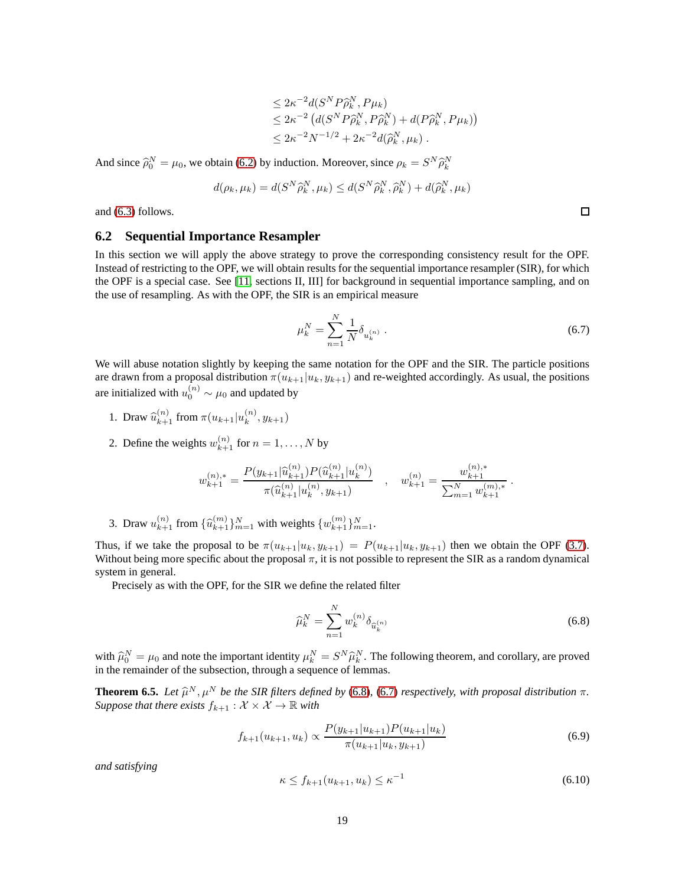$$
\leq 2\kappa^{-2}d(S^NP\widehat{\rho}_k^N, P\mu_k)
$$
  
\n
$$
\leq 2\kappa^{-2} (d(S^NP\widehat{\rho}_k^N, P\widehat{\rho}_k^N) + d(P\widehat{\rho}_k^N, P\mu_k))
$$
  
\n
$$
\leq 2\kappa^{-2}N^{-1/2} + 2\kappa^{-2}d(\widehat{\rho}_k^N, \mu_k).
$$

And since  $\hat{\rho}_0^N = \mu_0$ , we obtain [\(6.2\)](#page-16-4) by induction. Moreover, since  $\rho_k = S^N \hat{\rho}_k^N$ 

$$
d(\rho_k, \mu_k) = d(S^N \widehat{\rho}_k^N, \mu_k) \leq d(S^N \widehat{\rho}_k^N, \widehat{\rho}_k^N) + d(\widehat{\rho}_k^N, \mu_k)
$$

and [\(6.3\)](#page-16-5) follows.

#### **6.2 Sequential Importance Resampler**

In this section we will apply the above strategy to prove the corresponding consistency result for the OPF. Instead of restricting to the OPF, we will obtain results for the sequential importance resampler (SIR), for which the OPF is a special case. See [\[11,](#page-24-1) sections II, III] for background in sequential importance sampling, and on the use of resampling. As with the OPF, the SIR is an empirical measure

<span id="page-18-1"></span>
$$
\mu_k^N = \sum_{n=1}^N \frac{1}{N} \delta_{u_k^{(n)}} . \tag{6.7}
$$

We will abuse notation slightly by keeping the same notation for the OPF and the SIR. The particle positions are drawn from a proposal distribution  $\pi(u_{k+1}|u_k, y_{k+1})$  and re-weighted accordingly. As usual, the positions are initialized with  $u_0^{(n)} \sim \mu_0$  and updated by

- 1. Draw  $\hat{u}_{k+1}^{(n)}$  from  $\pi(u_{k+1}|u_k^{(n)})$  $x^{(n)}_k, y_{k+1})$
- 2. Define the weights  $w_{k+1}^{(n)}$  for  $n = 1, ..., N$  by

$$
w_{k+1}^{(n),*} = \frac{P(y_{k+1}|\widehat{u}_{k+1}^{(n)})P(\widehat{u}_{k+1}^{(n)}|u_k^{(n)})}{\pi(\widehat{u}_{k+1}^{(n)}|u_k^{(n)}, y_{k+1})} \quad , \quad w_{k+1}^{(n)} = \frac{w_{k+1}^{(n),*}}{\sum_{m=1}^N w_{k+1}^{(m),*}}.
$$

3. Draw  $u_{k+1}^{(n)}$  from  $\{\widehat{u}_{k+1}^{(m)}\}_{m=1}^N$  with weights  $\{w_{k+1}^{(m)}\}_{m=1}^N$ .

Thus, if we take the proposal to be  $\pi(u_{k+1}|u_k, y_{k+1}) = P(u_{k+1}|u_k, y_{k+1})$  then we obtain the OPF [\(3.7\)](#page-8-2). Without being more specific about the proposal  $\pi$ , it is not possible to represent the SIR as a random dynamical system in general.

Precisely as with the OPF, for the SIR we define the related filter

<span id="page-18-0"></span>
$$
\widehat{\mu}_k^N = \sum_{n=1}^N w_k^{(n)} \delta_{\widehat{u}_k^{(n)}}
$$
\n(6.8)

with  $\hat{\mu}_0^N = \mu_0$  and note the important identity  $\mu_k^N = S^N \hat{\mu}_k^N$ . The following theorem, and corollary, are proved in the remainder of the subsection, through a sequence of lemmas.

<span id="page-18-4"></span>**Theorem 6.5.** *Let*  $\hat{\mu}^N$ *,*  $\mu^N$  *be the SIR filters defined by* [\(6.8\)](#page-18-0)*,* [\(6.7\)](#page-18-1) *respectively, with proposal distribution* π*. Suppose that there exists*  $f_{k+1} : \mathcal{X} \times \mathcal{X} \to \mathbb{R}$  *with* 

$$
f_{k+1}(u_{k+1}, u_k) \propto \frac{P(y_{k+1}|u_{k+1})P(u_{k+1}|u_k)}{\pi(u_{k+1}|u_k, y_{k+1})}
$$
(6.9)

*and satisfying*

<span id="page-18-3"></span><span id="page-18-2"></span>
$$
\kappa \le f_{k+1}(u_{k+1}, u_k) \le \kappa^{-1} \tag{6.10}
$$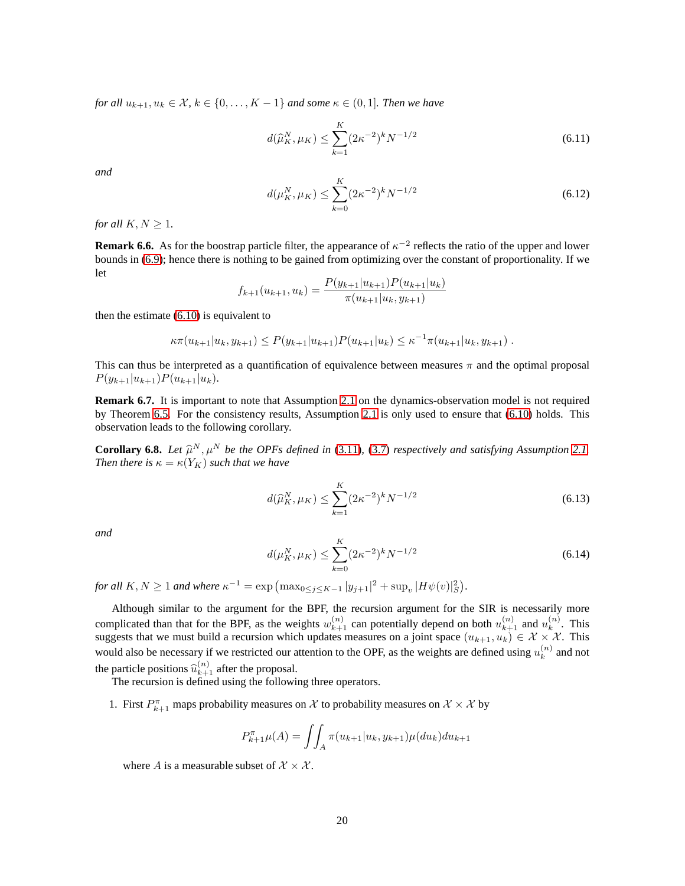*for all*  $u_{k+1}, u_k \in \mathcal{X}, k \in \{0, \ldots, K-1\}$  *and some*  $\kappa \in (0, 1]$ *. Then we have* 

$$
d(\widehat{\mu}_K^N, \mu_K) \le \sum_{k=1}^K (2\kappa^{-2})^k N^{-1/2}
$$
\n(6.11)

*and*

$$
d(\mu_K^N, \mu_K) \le \sum_{k=0}^K (2\kappa^{-2})^k N^{-1/2}
$$
\n(6.12)

*for all*  $K, N \geq 1$ *.* 

**Remark 6.6.** As for the boostrap particle filter, the appearance of  $\kappa^{-2}$  reflects the ratio of the upper and lower bounds in [\(6.9\)](#page-18-2); hence there is nothing to be gained from optimizing over the constant of proportionality. If we let

$$
f_{k+1}(u_{k+1}, u_k) = \frac{P(y_{k+1}|u_{k+1})P(u_{k+1}|u_k)}{\pi(u_{k+1}|u_k, y_{k+1})}
$$

then the estimate [\(6.10\)](#page-18-3) is equivalent to

$$
\kappa \pi(u_{k+1}|u_k, y_{k+1}) \leq P(y_{k+1}|u_{k+1})P(u_{k+1}|u_k) \leq \kappa^{-1} \pi(u_{k+1}|u_k, y_{k+1}).
$$

This can thus be interpreted as a quantification of equivalence between measures  $\pi$  and the optimal proposal  $P(y_{k+1}|u_{k+1})P(u_{k+1}|u_k).$ 

**Remark 6.7.** It is important to note that Assumption [2.1](#page-3-2) on the dynamics-observation model is not required by Theorem [6.5.](#page-18-4) For the consistency results, Assumption [2.1](#page-3-2) is only used to ensure that [\(6.10\)](#page-18-3) holds. This observation leads to the following corollary.

<span id="page-19-2"></span>**Corollary 6.8.** Let  $\hat{\mu}^N, \mu^N$  be the OPFs defined in [\(3.11\)](#page-9-1), [\(3.7\)](#page-8-2) respectively and satisfying Assumption [2.1.](#page-3-2) *Then there is*  $\kappa = \kappa(Y_K)$  *such that we have* 

<span id="page-19-0"></span>
$$
d(\widehat{\mu}_K^N, \mu_K) \le \sum_{k=1}^K (2\kappa^{-2})^k N^{-1/2}
$$
\n(6.13)

*and*

<span id="page-19-1"></span>
$$
d(\mu_K^N, \mu_K) \le \sum_{k=0}^K (2\kappa^{-2})^k N^{-1/2}
$$
\n(6.14)

*for all*  $K, N \ge 1$  *and where*  $\kappa^{-1} = \exp \left( \max_{0 \le j \le K-1} |y_{j+1}|^2 + \sup_v |H\psi(v)|_S^2 \right)$ .

Although similar to the argument for the BPF, the recursion argument for the SIR is necessarily more complicated than that for the BPF, as the weights  $w_{k+1}^{(n)}$  can potentially depend on both  $u_{k+1}^{(n)}$  and  $u_k^{(n)}$  $\binom{n}{k}$ . This suggests that we must build a recursion which updates measures on a joint space  $(u_{k+1}, u_k) \in \mathcal{X} \times \mathcal{X}$ . This would also be necessary if we restricted our attention to the OPF, as the weights are defined using  $u_k^{(n)}$  $k^{(n)}$  and not the particle positions  $\hat{u}_{k+1}^{(n)}$  after the proposal.

The recursion is defined using the following three operators.

1. First  $P_{k+1}^{\pi}$  maps probability measures on X to probability measures on  $\mathcal{X} \times \mathcal{X}$  by

$$
P_{k+1}^{\pi} \mu(A) = \iint_A \pi(u_{k+1}|u_k, y_{k+1}) \mu(du_k) du_{k+1}
$$

where A is a measurable subset of  $\mathcal{X} \times \mathcal{X}$ .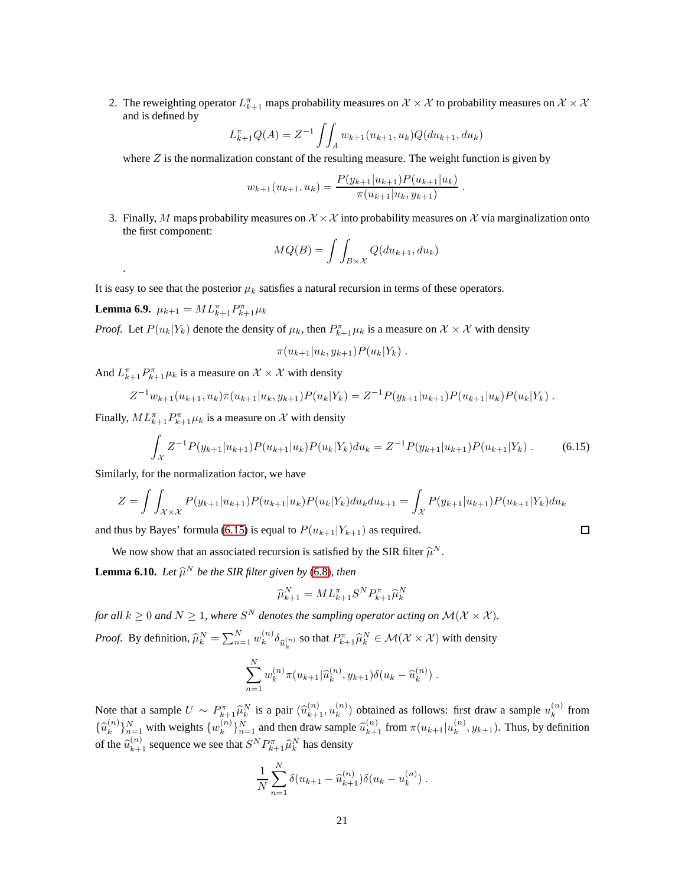2. The reweighting operator  $L_{k+1}^{\pi}$  maps probability measures on  $\mathcal{X} \times \mathcal{X}$  to probability measures on  $\mathcal{X} \times \mathcal{X}$ and is defined by

$$
L_{k+1}^{\pi}Q(A) = Z^{-1} \int \int_{A} w_{k+1}(u_{k+1}, u_k) Q(du_{k+1}, du_k)
$$

where  $Z$  is the normalization constant of the resulting measure. The weight function is given by

$$
w_{k+1}(u_{k+1}, u_k) = \frac{P(y_{k+1}|u_{k+1})P(u_{k+1}|u_k)}{\pi(u_{k+1}|u_k, y_{k+1})}
$$

.

<span id="page-20-0"></span> $\Box$ 

3. Finally, M maps probability measures on  $\mathcal{X} \times \mathcal{X}$  into probability measures on X via marginalization onto the first component:

$$
MQ(B) = \int \int_{B \times \mathcal{X}} Q(du_{k+1}, du_k)
$$

It is easy to see that the posterior  $\mu_k$  satisfies a natural recursion in terms of these operators.

<span id="page-20-1"></span>**Lemma 6.9.**  $\mu_{k+1} = ML_{k+1}^{\pi} P_{k+1}^{\pi} \mu_k$ 

.

*Proof.* Let  $P(u_k|Y_k)$  denote the density of  $\mu_k$ , then  $P_{k+1}^{\pi} \mu_k$  is a measure on  $\mathcal{X} \times \mathcal{X}$  with density

$$
\pi(u_{k+1}|u_k, y_{k+1})P(u_k|Y_k) .
$$

And  $L_{k+1}^{\pi}P_{k+1}^{\pi} \mu_k$  is a measure on  $\mathcal{X} \times \mathcal{X}$  with density

$$
Z^{-1}w_{k+1}(u_{k+1},u_k)\pi(u_{k+1}|u_k,y_{k+1})P(u_k|Y_k)=Z^{-1}P(y_{k+1}|u_{k+1})P(u_{k+1}|u_k)P(u_k|Y_k).
$$

Finally,  $ML_{k+1}^{\pi}P_{k+1}^{\pi} \mu_k$  is a measure on X with density

$$
\int_{\mathcal{X}} Z^{-1} P(y_{k+1}|u_{k+1}) P(u_{k+1}|u_k) P(u_k|Y_k) du_k = Z^{-1} P(y_{k+1}|u_{k+1}) P(u_{k+1}|Y_k).
$$
 (6.15)

Similarly, for the normalization factor, we have

$$
Z = \int \int_{\mathcal{X} \times \mathcal{X}} P(y_{k+1}|u_{k+1}) P(u_{k+1}|u_k) P(u_k|Y_k) du_k du_{k+1} = \int_{\mathcal{X}} P(y_{k+1}|u_{k+1}) P(u_{k+1}|Y_k) du_k
$$

and thus by Bayes' formula [\(6.15\)](#page-20-0) is equal to  $P(u_{k+1}|Y_{k+1})$  as required.

We now show that an associated recursion is satisfied by the SIR filter  $\hat{\mu}^N$ .

<span id="page-20-2"></span>**Lemma 6.10.** *Let*  $\widehat{\mu}^N$  *be the SIR filter given by* [\(6.8\)](#page-18-0)*, then* 

$$
\widehat{\mu}_{k+1}^N = M L_{k+1}^\pi S^N P_{k+1}^\pi \widehat{\mu}_k^N
$$

for all  $k \geq 0$  and  $N \geq 1$ , where  $S^N$  denotes the sampling operator acting on  $\mathcal{M}(\mathcal{X} \times \mathcal{X})$ . *Proof.* By definition,  $\hat{\mu}_k^N = \sum_{n=1}^N w_k^{(n)}$  $\int_k^{(n)} \delta_{\widehat{u}_k^{(n)}}$  so that  $P_{k+1}^{\pi} \widehat{\mu}_k^N \in \mathcal{M}(\mathcal{X} \times \mathcal{X})$  with density

$$
\sum_{n=1}^N w_k^{(n)} \pi(u_{k+1}|\widehat{u}_k^{(n)}, y_{k+1}) \delta(u_k - \widehat{u}_k^{(n)}) .
$$

Note that a sample  $U \sim P_{k+1}^{\pi} \hat{\mu}_k^N$  is a pair  $(\hat{u}_{k+1}^{(n)}, u_k^{(n)})$  $\binom{n}{k}$  obtained as follows: first draw a sample  $u_k^{(n)}$  $\binom{n}{k}$  from  $\{\widehat{u}_k^{(n)}\}$  ${k \choose k}$  $_{n=1}^N$  with weights  $\{w_k^{(n)}\}$  $\{n \choose k}_{n=1}^N$  and then draw sample  $\widehat{u}_{k+1}^{(n)}$  from  $\pi(u_{k+1}|u_k^{(n)})$  $k^{(n)}$ ,  $y_{k+1}$ ). Thus, by definition of the  $\widehat{u}_{k+1}^{(n)}$  sequence we see that  $S^N P_{k+1}^{\pi} \widehat{\mu}_k^N$  has density

$$
\frac{1}{N} \sum_{n=1}^{N} \delta(u_{k+1} - \widehat{u}_{k+1}^{(n)}) \delta(u_k - u_k^{(n)}) .
$$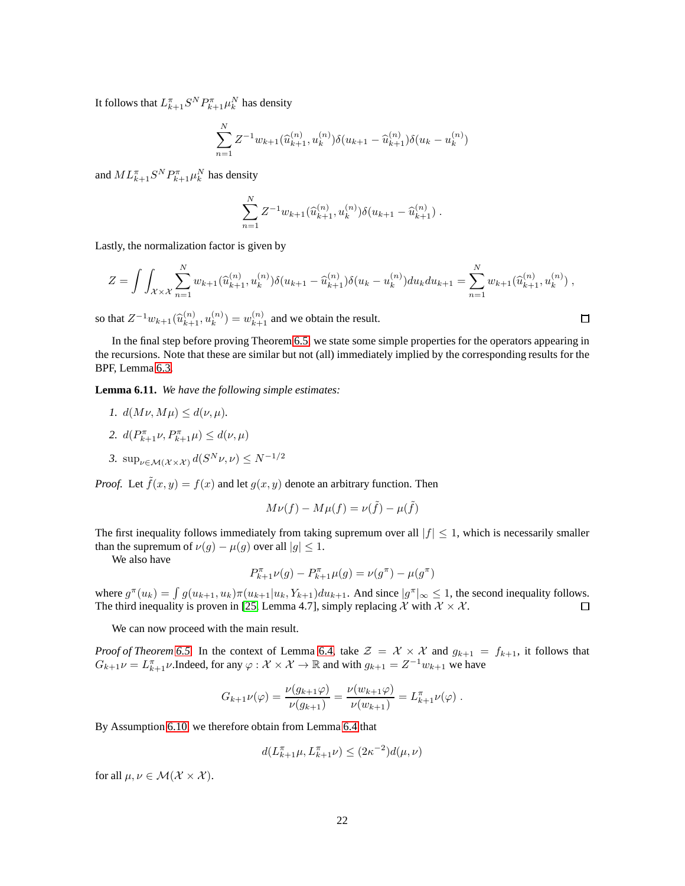It follows that  $L_{k+1}^{\pi} S^N P_{k+1}^{\pi} \mu_k^N$  has density

$$
\sum_{n=1}^{N} Z^{-1} w_{k+1}(\widehat{u}_{k+1}^{(n)}, u_k^{(n)}) \delta(u_{k+1} - \widehat{u}_{k+1}^{(n)}) \delta(u_k - u_k^{(n)})
$$

and  $ML_{k+1}^{\pi} S^N P_{k+1}^{\pi} \mu_k^N$  has density

$$
\sum_{n=1}^{N} Z^{-1} w_{k+1}(\widehat{u}_{k+1}^{(n)}, u_k^{(n)}) \delta(u_{k+1} - \widehat{u}_{k+1}^{(n)}) .
$$

Lastly, the normalization factor is given by

$$
Z = \int \int_{\mathcal{X} \times \mathcal{X}} \sum_{n=1}^{N} w_{k+1}(\widehat{u}_{k+1}^{(n)}, u_k^{(n)}) \delta(u_{k+1} - \widehat{u}_{k+1}^{(n)}) \delta(u_k - u_k^{(n)}) du_k du_{k+1} = \sum_{n=1}^{N} w_{k+1}(\widehat{u}_{k+1}^{(n)}, u_k^{(n)}) ,
$$

so that  $Z^{-1}w_{k+1}(\widehat{u}_{k+1}^{(n)}, u_k^{(n)})$  $\binom{n}{k}$  =  $w_{k+1}^{(n)}$  and we obtain the result.

In the final step before proving Theorem [6.5,](#page-18-4) we state some simple properties for the operators appearing in the recursions. Note that these are similar but not (all) immediately implied by the corresponding results for the BPF, Lemma [6.3.](#page-17-3)

<span id="page-21-0"></span>**Lemma 6.11.** *We have the following simple estimates:*

- *1.*  $d(M\nu, M\mu) \leq d(\nu, \mu)$ .
- 2.  $d(P_{k+1}^{\pi} \nu, P_{k+1}^{\pi} \mu) \leq d(\nu, \mu)$
- 3.  $\sup_{\nu \in \mathcal{M}(\mathcal{X} \times \mathcal{X})} d(S^N \nu, \nu) \le N^{-1/2}$

*Proof.* Let  $\tilde{f}(x, y) = f(x)$  and let  $g(x, y)$  denote an arbitrary function. Then

$$
M\nu(f) - M\mu(f) = \nu(\tilde{f}) - \mu(\tilde{f})
$$

The first inequality follows immediately from taking supremum over all  $|f| \leq 1$ , which is necessarily smaller than the supremum of  $\nu(g) - \mu(g)$  over all  $|g| \leq 1$ .

We also have

$$
P^{\pi}_{k+1}\nu(g) - P^{\pi}_{k+1}\mu(g) = \nu(g^{\pi}) - \mu(g^{\pi})
$$

where  $g^{\pi}(u_k) = \int g(u_{k+1}, u_k) \pi(u_{k+1}|u_k, Y_{k+1}) du_{k+1}$ . And since  $|g^{\pi}|_{\infty} \leq 1$ , the second inequality follows. The third inequality is proven in [\[25,](#page-25-2) Lemma 4.7], simply replacing X with  $X \times X$ .  $\Box$ 

We can now proceed with the main result.

*Proof of Theorem* [6.5.](#page-18-4) In the context of Lemma [6.4,](#page-17-0) take  $\mathcal{Z} = \mathcal{X} \times \mathcal{X}$  and  $g_{k+1} = f_{k+1}$ , it follows that  $G_{k+1}\nu = L_{k+1}^{\pi}\nu$ . Indeed, for any  $\varphi : \mathcal{X} \times \mathcal{X} \to \mathbb{R}$  and with  $g_{k+1} = Z^{-1}w_{k+1}$  we have

$$
G_{k+1}\nu(\varphi) = \frac{\nu(g_{k+1}\varphi)}{\nu(g_{k+1})} = \frac{\nu(w_{k+1}\varphi)}{\nu(w_{k+1})} = L_{k+1}^{\pi}\nu(\varphi) .
$$

By Assumption [6.10,](#page-18-3) we therefore obtain from Lemma [6.4](#page-17-0) that

$$
d(L_{k+1}^\pi\mu,L_{k+1}^\pi\nu)\leq (2\kappa^{-2})d(\mu,\nu)
$$

for all  $\mu, \nu \in \mathcal{M}(\mathcal{X} \times \mathcal{X})$ .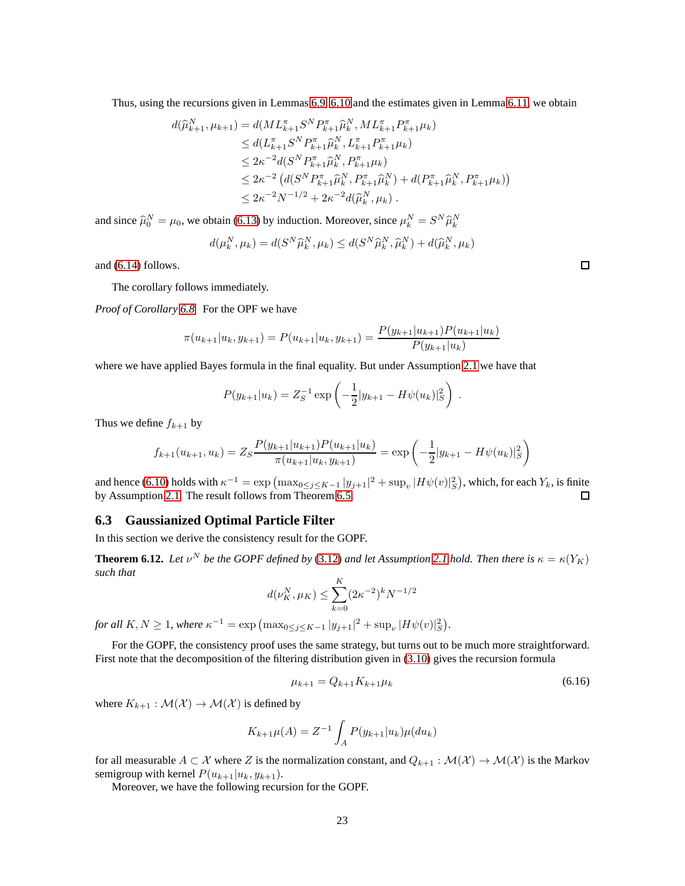Thus, using the recursions given in Lemmas [6.9,](#page-20-1) [6.10](#page-20-2) and the estimates given in Lemma [6.11,](#page-21-0) we obtain

$$
d(\widehat{\mu}_{k+1}^{N}, \mu_{k+1}) = d(ML_{k+1}^{\pi} S^{N} P_{k+1}^{\pi} \widehat{\mu}_{k}^{N}, ML_{k+1}^{\pi} P_{k+1}^{\pi} \mu_{k})
$$
  
\n
$$
\leq d(L_{k+1}^{\pi} S^{N} P_{k+1}^{\pi} \widehat{\mu}_{k}^{N}, L_{k+1}^{\pi} P_{k+1}^{\pi} \mu_{k})
$$
  
\n
$$
\leq 2\kappa^{-2} d(S^{N} P_{k+1}^{\pi} \widehat{\mu}_{k}^{N}, P_{k+1}^{\pi} \mu_{k})
$$
  
\n
$$
\leq 2\kappa^{-2} (d(S^{N} P_{k+1}^{\pi} \widehat{\mu}_{k}^{N}, P_{k+1}^{\pi} \widehat{\mu}_{k}^{N}) + d(P_{k+1}^{\pi} \widehat{\mu}_{k}^{N}, P_{k+1}^{\pi} \mu_{k}))
$$
  
\n
$$
\leq 2\kappa^{-2} N^{-1/2} + 2\kappa^{-2} d(\widehat{\mu}_{k}^{N}, \mu_{k}).
$$

and since  $\hat{\mu}_0^N = \mu_0$ , we obtain [\(6.13\)](#page-19-0) by induction. Moreover, since  $\mu_k^N = S^N \hat{\mu}_k^N$ 

$$
d(\mu_k^N, \mu_k) = d(S^N \widehat{\mu}_k^N, \mu_k) \leq d(S^N \widehat{\mu}_k^N, \widehat{\mu}_k^N) + d(\widehat{\mu}_k^N, \mu_k)
$$

and [\(6.14\)](#page-19-1) follows.

The corollary follows immediately.

*Proof of Corollary [6.8.](#page-19-2)* For the OPF we have

$$
\pi(u_{k+1}|u_k, y_{k+1}) = P(u_{k+1}|u_k, y_{k+1}) = \frac{P(y_{k+1}|u_{k+1})P(u_{k+1}|u_k)}{P(y_{k+1}|u_k)}
$$

where we have applied Bayes formula in the final equality. But under Assumption [2.1](#page-3-2) we have that

$$
P(y_{k+1}|u_k) = Z_S^{-1} \exp\left(-\frac{1}{2}|y_{k+1} - H\psi(u_k)|_S^2\right).
$$

Thus we define  $f_{k+1}$  by

$$
f_{k+1}(u_{k+1}, u_k) = Z_S \frac{P(y_{k+1}|u_{k+1})P(u_{k+1}|u_k)}{\pi(u_{k+1}|u_k, y_{k+1})} = \exp\left(-\frac{1}{2}|y_{k+1} - H\psi(u_k)|_S^2\right)
$$

and hence [\(6.10\)](#page-18-3) holds with  $\kappa^{-1} = \exp \left( \max_{0 \le j \le K-1} |y_{j+1}|^2 + \sup_v |H\psi(v)|_S^2 \right)$ , which, for each  $Y_k$ , is finite by Assumption [2.1.](#page-3-2) The result follows from Theorem [6.5.](#page-18-4)  $\Box$ 

### **6.3 Gaussianized Optimal Particle Filter**

In this section we derive the consistency result for the GOPF.

**Theorem 6.12.** Let  $v^N$  be the GOPF defined by [\(3.12\)](#page-10-3) and let Assumption [2.1](#page-3-2) hold. Then there is  $\kappa = \kappa(Y_K)$ *such that*

$$
d(\nu_K^N, \mu_K) \le \sum_{k=0}^K (2\kappa^{-2})^k N^{-1/2}
$$

*for all*  $K, N \ge 1$ , where  $\kappa^{-1} = \exp \left( \max_{0 \le j \le K-1} |y_{j+1}|^2 + \sup_v |H\psi(v)|_S^2 \right)$ .

For the GOPF, the consistency proof uses the same strategy, but turns out to be much more straightforward. First note that the decomposition of the filtering distribution given in [\(3.10\)](#page-9-2) gives the recursion formula

<span id="page-22-0"></span>
$$
\mu_{k+1} = Q_{k+1} K_{k+1} \mu_k \tag{6.16}
$$

where  $K_{k+1}$ :  $\mathcal{M}(\mathcal{X}) \to \mathcal{M}(\mathcal{X})$  is defined by

$$
K_{k+1}\mu(A) = Z^{-1} \int_A P(y_{k+1}|u_k)\mu(du_k)
$$

for all measurable  $A \subset \mathcal{X}$  where Z is the normalization constant, and  $Q_{k+1} : \mathcal{M}(\mathcal{X}) \to \mathcal{M}(\mathcal{X})$  is the Markov semigroup with kernel  $P(u_{k+1}|u_k, y_{k+1})$ .

Moreover, we have the following recursion for the GOPF.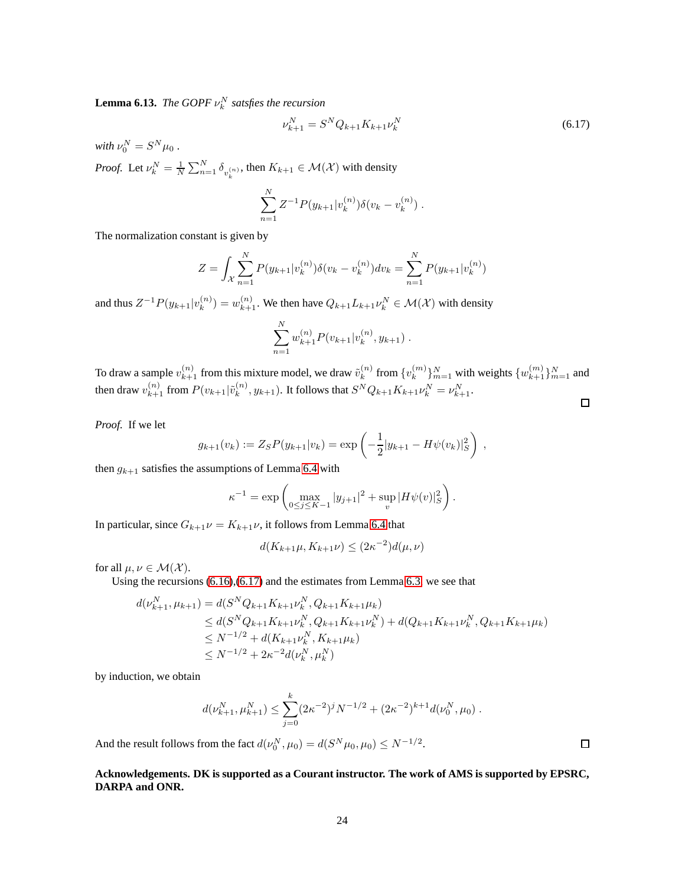**Lemma 6.13.** *The GOPF*  $\nu_k^N$  *satsfies the recursion* 

<span id="page-23-0"></span>
$$
\nu_{k+1}^N = S^N Q_{k+1} K_{k+1} \nu_k^N \tag{6.17}
$$

with  $\nu_0^N = S^N \mu_0$  . *Proof.* Let  $\nu_k^N = \frac{1}{N} \sum_{n=1}^N \delta_{v_k^{(n)}}$ , then  $K_{k+1} \in \mathcal{M}(\mathcal{X})$  with density

$$
\sum_{n=1}^{N} Z^{-1} P(y_{k+1} | v_k^{(n)}) \delta(v_k - v_k^{(n)}) .
$$

The normalization constant is given by

$$
Z = \int_{\mathcal{X}} \sum_{n=1}^{N} P(y_{k+1} | v_k^{(n)}) \delta(v_k - v_k^{(n)}) dv_k = \sum_{n=1}^{N} P(y_{k+1} | v_k^{(n)})
$$

and thus  $Z^{-1}P(y_{k+1}|v_k^{(n)})$  $\mathcal{L}_k^{(n)}$  =  $w_{k+1}^{(n)}$ . We then have  $Q_{k+1}L_{k+1}\nu_k^N \in \mathcal{M}(\mathcal{X})$  with density

$$
\sum_{n=1}^{N} w_{k+1}^{(n)} P(v_{k+1}|v_k^{(n)}, y_{k+1}).
$$

To draw a sample  $v_{k+1}^{(n)}$  from this mixture model, we draw  $\tilde{v}_k^{(n)}$  $\binom{n}{k}$  from  $\{v_k^{(m)}\}$  $\{w_{k+1}^{(m)}\}_{m=1}^{N}$  with weights  $\{w_{k+1}^{(m)}\}_{m=1}^{N}$  and then draw  $v_{k+1}^{(n)}$  from  $P(v_{k+1}|\tilde{v}_k^{(n)})$  $(k^{(n)}, y_{k+1})$ . It follows that  $S^N Q_{k+1} K_{k+1} \nu_k^N = \nu_{k+1}^N$ .  $\Box$ 

*Proof.* If we let

$$
g_{k+1}(v_k) := Z_S P(y_{k+1}|v_k) = \exp\left(-\frac{1}{2}|y_{k+1} - H\psi(v_k)|_S^2\right) ,
$$

then  $g_{k+1}$  satisfies the assumptions of Lemma [6.4](#page-17-0) with

$$
\kappa^{-1} = \exp\left(\max_{0 \le j \le K-1} |y_{j+1}|^2 + \sup_v |H\psi(v)|_S^2\right).
$$

In particular, since  $G_{k+1}\nu = K_{k+1}\nu$ , it follows from Lemma [6.4](#page-17-0) that

$$
d(K_{k+1}\mu, K_{k+1}\nu) \le (2\kappa^{-2})d(\mu, \nu)
$$

for all  $\mu, \nu \in \mathcal{M}(\mathcal{X})$ .

Using the recursions  $(6.16)$ , $(6.17)$  and the estimates from Lemma [6.3,](#page-17-3) we see that

$$
d(\nu_{k+1}^N, \mu_{k+1}) = d(S^N Q_{k+1} K_{k+1} \nu_k^N, Q_{k+1} K_{k+1} \mu_k)
$$
  
\n
$$
\leq d(S^N Q_{k+1} K_{k+1} \nu_k^N, Q_{k+1} K_{k+1} \nu_k^N) + d(Q_{k+1} K_{k+1} \nu_k^N, Q_{k+1} K_{k+1} \mu_k)
$$
  
\n
$$
\leq N^{-1/2} + d(K_{k+1} \nu_k^N, K_{k+1} \mu_k)
$$
  
\n
$$
\leq N^{-1/2} + 2\kappa^{-2} d(\nu_k^N, \mu_k^N)
$$

by induction, we obtain

$$
d(\nu_{k+1}^N, \mu_{k+1}^N) \leq \sum_{j=0}^k (2\kappa^{-2})^j N^{-1/2} + (2\kappa^{-2})^{k+1} d(\nu_0^N, \mu_0).
$$

And the result follows from the fact  $d(\nu_0^N, \mu_0) = d(S^N \mu_0, \mu_0) \le N^{-1/2}$ .

## **Acknowledgements. DK is supported as a Courant instructor. The work of AMS is supported by EPSRC, DARPA and ONR.**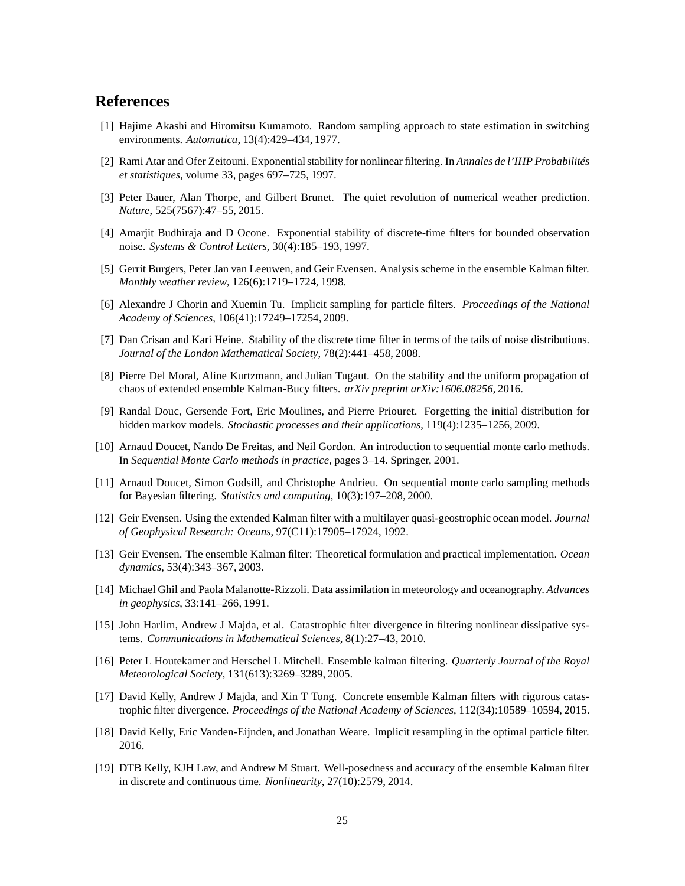# <span id="page-24-16"></span>**References**

- <span id="page-24-14"></span>[1] Hajime Akashi and Hiromitsu Kumamoto. Random sampling approach to state estimation in switching environments. *Automatica*, 13(4):429–434, 1977.
- <span id="page-24-0"></span>[2] Rami Atar and Ofer Zeitouni. Exponential stability for nonlinear filtering. In *Annales de l'IHP Probabilités et statistiques*, volume 33, pages 697–725, 1997.
- <span id="page-24-15"></span>[3] Peter Bauer, Alan Thorpe, and Gilbert Brunet. The quiet revolution of numerical weather prediction. *Nature*, 525(7567):47–55, 2015.
- <span id="page-24-5"></span>[4] Amarjit Budhiraja and D Ocone. Exponential stability of discrete-time filters for bounded observation noise. *Systems & Control Letters*, 30(4):185–193, 1997.
- <span id="page-24-17"></span>[5] Gerrit Burgers, Peter Jan van Leeuwen, and Geir Evensen. Analysis scheme in the ensemble Kalman filter. *Monthly weather review*, 126(6):1719–1724, 1998.
- <span id="page-24-13"></span>[6] Alexandre J Chorin and Xuemin Tu. Implicit sampling for particle filters. *Proceedings of the National Academy of Sciences*, 106(41):17249–17254, 2009.
- [7] Dan Crisan and Kari Heine. Stability of the discrete time filter in terms of the tails of noise distributions. *Journal of the London Mathematical Society*, 78(2):441–458, 2008.
- <span id="page-24-9"></span>[8] Pierre Del Moral, Aline Kurtzmann, and Julian Tugaut. On the stability and the uniform propagation of chaos of extended ensemble Kalman-Bucy filters. *arXiv preprint arXiv:1606.08256*, 2016.
- <span id="page-24-12"></span>[9] Randal Douc, Gersende Fort, Eric Moulines, and Pierre Priouret. Forgetting the initial distribution for hidden markov models. *Stochastic processes and their applications*, 119(4):1235–1256, 2009.
- <span id="page-24-2"></span><span id="page-24-1"></span>[10] Arnaud Doucet, Nando De Freitas, and Neil Gordon. An introduction to sequential monte carlo methods. In *Sequential Monte Carlo methods in practice*, pages 3–14. Springer, 2001.
- <span id="page-24-4"></span>[11] Arnaud Doucet, Simon Godsill, and Christophe Andrieu. On sequential monte carlo sampling methods for Bayesian filtering. *Statistics and computing*, 10(3):197–208, 2000.
- <span id="page-24-6"></span>[12] Geir Evensen. Using the extended Kalman filter with a multilayer quasi-geostrophic ocean model. *Journal of Geophysical Research: Oceans*, 97(C11):17905–17924, 1992.
- <span id="page-24-3"></span>[13] Geir Evensen. The ensemble Kalman filter: Theoretical formulation and practical implementation. *Ocean dynamics*, 53(4):343–367, 2003.
- [14] Michael Ghil and Paola Malanotte-Rizzoli. Data assimilation in meteorology and oceanography. *Advances in geophysics*, 33:141–266, 1991.
- <span id="page-24-11"></span>[15] John Harlim, Andrew J Majda, et al. Catastrophic filter divergence in filtering nonlinear dissipative systems. *Communications in Mathematical Sciences*, 8(1):27–43, 2010.
- <span id="page-24-7"></span>[16] Peter L Houtekamer and Herschel L Mitchell. Ensemble kalman filtering. *Quarterly Journal of the Royal Meteorological Society*, 131(613):3269–3289, 2005.
- <span id="page-24-10"></span>[17] David Kelly, Andrew J Majda, and Xin T Tong. Concrete ensemble Kalman filters with rigorous catastrophic filter divergence. *Proceedings of the National Academy of Sciences*, 112(34):10589–10594, 2015.
- <span id="page-24-18"></span><span id="page-24-8"></span>[18] David Kelly, Eric Vanden-Eijnden, and Jonathan Weare. Implicit resampling in the optimal particle filter. 2016.
- [19] DTB Kelly, KJH Law, and Andrew M Stuart. Well-posedness and accuracy of the ensemble Kalman filter in discrete and continuous time. *Nonlinearity*, 27(10):2579, 2014.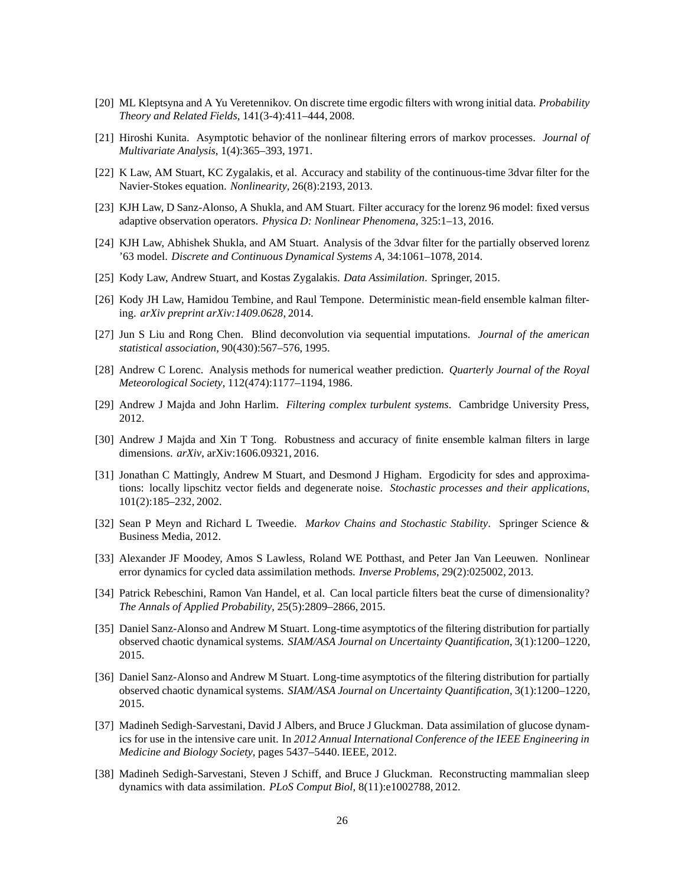- <span id="page-25-12"></span><span id="page-25-11"></span>[20] ML Kleptsyna and A Yu Veretennikov. On discrete time ergodic filters with wrong initial data. *Probability Theory and Related Fields*, 141(3-4):411–444, 2008.
- <span id="page-25-8"></span>[21] Hiroshi Kunita. Asymptotic behavior of the nonlinear filtering errors of markov processes. *Journal of Multivariate Analysis*, 1(4):365–393, 1971.
- <span id="page-25-7"></span>[22] K Law, AM Stuart, KC Zygalakis, et al. Accuracy and stability of the continuous-time 3dvar filter for the Navier-Stokes equation. *Nonlinearity*, 26(8):2193, 2013.
- <span id="page-25-6"></span>[23] KJH Law, D Sanz-Alonso, A Shukla, and AM Stuart. Filter accuracy for the lorenz 96 model: fixed versus adaptive observation operators. *Physica D: Nonlinear Phenomena*, 325:1–13, 2016.
- <span id="page-25-2"></span>[24] KJH Law, Abhishek Shukla, and AM Stuart. Analysis of the 3dvar filter for the partially observed lorenz '63 model. *Discrete and Continuous Dynamical Systems A*, 34:1061–1078, 2014.
- <span id="page-25-4"></span>[25] Kody Law, Andrew Stuart, and Kostas Zygalakis. *Data Assimilation*. Springer, 2015.
- [26] Kody JH Law, Hamidou Tembine, and Raul Tempone. Deterministic mean-field ensemble kalman filtering. *arXiv preprint arXiv:1409.0628*, 2014.
- <span id="page-25-13"></span>[27] Jun S Liu and Rong Chen. Blind deconvolution via sequential imputations. *Journal of the american statistical association*, 90(430):567–576, 1995.
- <span id="page-25-3"></span>[28] Andrew C Lorenc. Analysis methods for numerical weather prediction. *Quarterly Journal of the Royal Meteorological Society*, 112(474):1177–1194, 1986.
- <span id="page-25-10"></span><span id="page-25-5"></span>[29] Andrew J Majda and John Harlim. *Filtering complex turbulent systems*. Cambridge University Press, 2012.
- [30] Andrew J Majda and Xin T Tong. Robustness and accuracy of finite ensemble kalman filters in large dimensions. *arXiv*, arXiv:1606.09321, 2016.
- <span id="page-25-17"></span>[31] Jonathan C Mattingly, Andrew M Stuart, and Desmond J Higham. Ergodicity for sdes and approximations: locally lipschitz vector fields and degenerate noise. *Stochastic processes and their applications*, 101(2):185–232, 2002.
- <span id="page-25-16"></span>[32] Sean P Meyn and Richard L Tweedie. *Markov Chains and Stochastic Stability*. Springer Science & Business Media, 2012.
- <span id="page-25-9"></span>[33] Alexander JF Moodey, Amos S Lawless, Roland WE Potthast, and Peter Jan Van Leeuwen. Nonlinear error dynamics for cycled data assimilation methods. *Inverse Problems*, 29(2):025002, 2013.
- <span id="page-25-15"></span>[34] Patrick Rebeschini, Ramon Van Handel, et al. Can local particle filters beat the curse of dimensionality? *The Annals of Applied Probability*, 25(5):2809–2866, 2015.
- <span id="page-25-14"></span>[35] Daniel Sanz-Alonso and Andrew M Stuart. Long-time asymptotics of the filtering distribution for partially observed chaotic dynamical systems. *SIAM/ASA Journal on Uncertainty Quantification*, 3(1):1200–1220, 2015.
- <span id="page-25-18"></span>[36] Daniel Sanz-Alonso and Andrew M Stuart. Long-time asymptotics of the filtering distribution for partially observed chaotic dynamical systems. *SIAM/ASA Journal on Uncertainty Quantification*, 3(1):1200–1220, 2015.
- <span id="page-25-0"></span>[37] Madineh Sedigh-Sarvestani, David J Albers, and Bruce J Gluckman. Data assimilation of glucose dynamics for use in the intensive care unit. In *2012 Annual International Conference of the IEEE Engineering in Medicine and Biology Society*, pages 5437–5440. IEEE, 2012.
- <span id="page-25-1"></span>[38] Madineh Sedigh-Sarvestani, Steven J Schiff, and Bruce J Gluckman. Reconstructing mammalian sleep dynamics with data assimilation. *PLoS Comput Biol*, 8(11):e1002788, 2012.